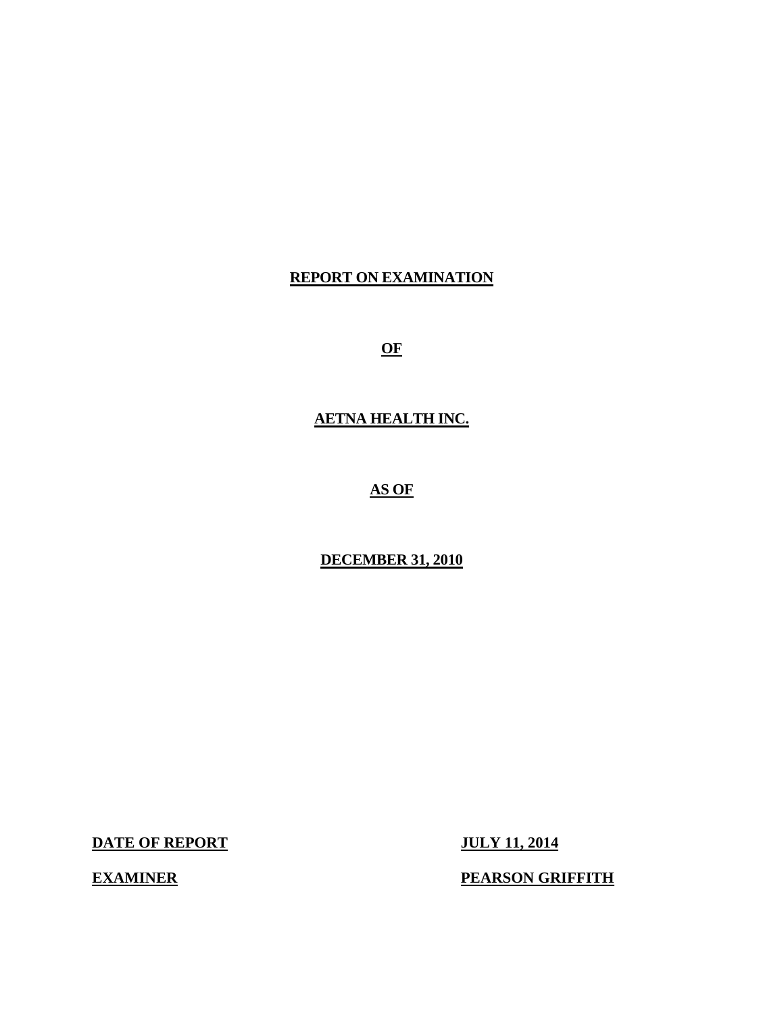## **REPORT ON EXAMINATION**

**OF** 

**AETNA HEALTH INC.** 

**AS OF** 

**DECEMBER 31, 2010** 

**DATE OF REPORT JULY 11, 2014** 

**EXAMINER** 

**PEARSON GRIFFITH**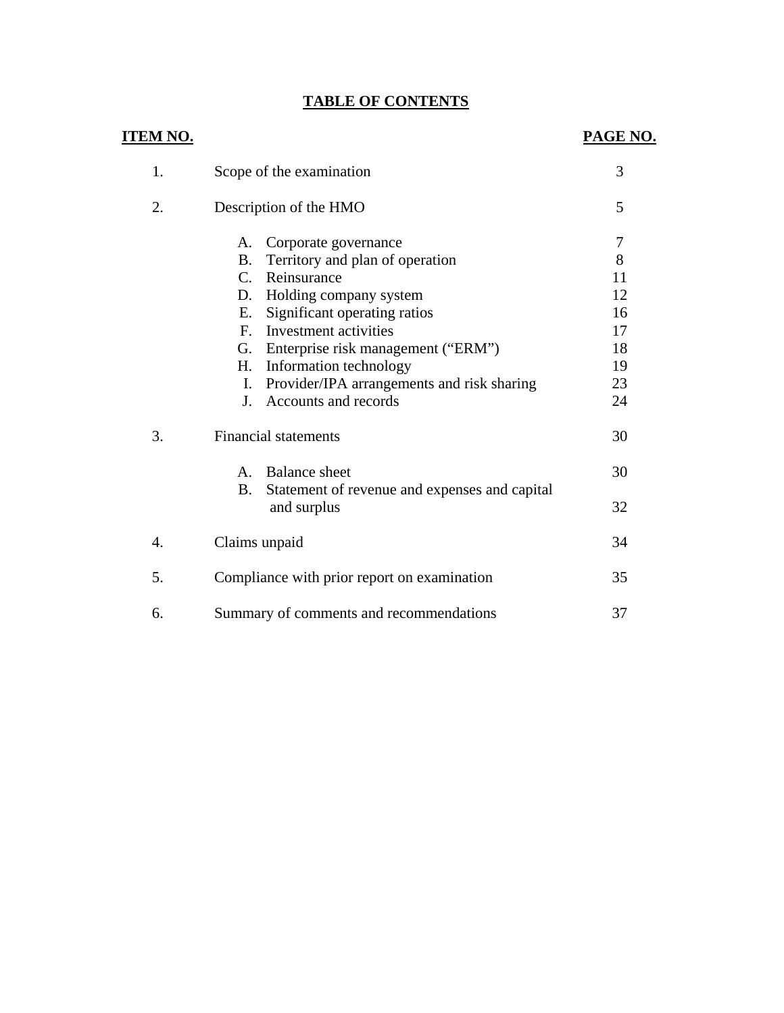## **TABLE OF CONTENTS**

| <b>ITEM NO.</b> |                                                                                                                                                                      | PAGE NO.                  |
|-----------------|----------------------------------------------------------------------------------------------------------------------------------------------------------------------|---------------------------|
| 1.              | Scope of the examination                                                                                                                                             | 3                         |
| 2.              | Description of the HMO                                                                                                                                               | 5                         |
|                 | Corporate governance<br>Α.<br>Territory and plan of operation<br><b>B.</b><br>Reinsurance<br>$C_{\cdot}$                                                             | $\overline{7}$<br>8<br>11 |
|                 | Holding company system<br>D.<br>Significant operating ratios<br>Е.<br>Investment activities<br>$F_{\cdot}$                                                           | 12<br>16<br>17            |
|                 | Enterprise risk management ("ERM")<br>G.<br>H.<br>Information technology<br>Provider/IPA arrangements and risk sharing<br>Ι.<br>Accounts and records<br>$\mathbf{I}$ | 18<br>19<br>23<br>24      |
| 3.              | <b>Financial statements</b>                                                                                                                                          | 30                        |
|                 | <b>Balance</b> sheet<br>$A_{1}$<br><b>B.</b><br>Statement of revenue and expenses and capital<br>and surplus                                                         | 30<br>32                  |
| 4.              | Claims unpaid                                                                                                                                                        | 34                        |
| 5.              | Compliance with prior report on examination                                                                                                                          | 35                        |
| 6.              | Summary of comments and recommendations                                                                                                                              | 37                        |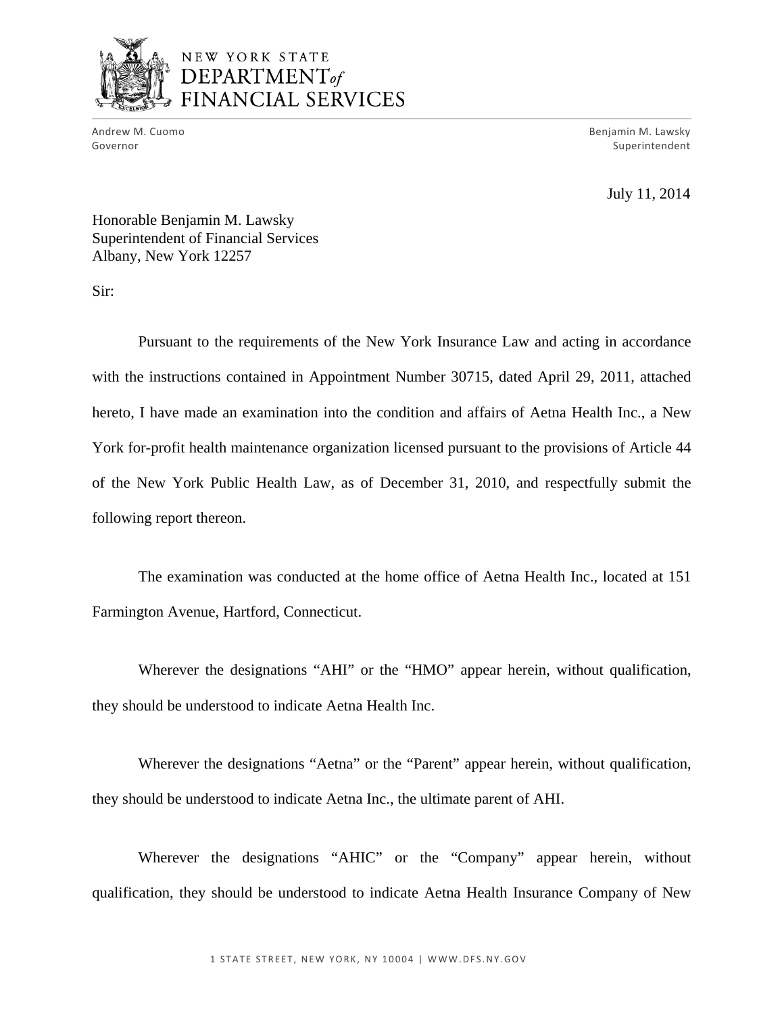

## NEW YORK STATE DEPARTMENT<sub>of</sub> FINANCIAL SERVICES

Andrew M. Cuomo<br>Governor

Benjamin M. Lawsky Superintendent

July 11, 2014

Honorable Benjamin M. Lawsky Superintendent of Financial Services Albany, New York 12257

Sir:

Pursuant to the requirements of the New York Insurance Law and acting in accordance with the instructions contained in Appointment Number 30715, dated April 29, 2011, attached hereto, I have made an examination into the condition and affairs of Aetna Health Inc., a New York for-profit health maintenance organization licensed pursuant to the provisions of Article 44 of the New York Public Health Law, as of December 31, 2010, and respectfully submit the following report thereon.

The examination was conducted at the home office of Aetna Health Inc., located at 151 Farmington Avenue, Hartford, Connecticut.

Wherever the designations "AHI" or the "HMO" appear herein, without qualification, they should be understood to indicate Aetna Health Inc.

Wherever the designations "Aetna" or the "Parent" appear herein, without qualification, they should be understood to indicate Aetna Inc., the ultimate parent of AHI.

Wherever the designations "AHIC" or the "Company" appear herein, without qualification, they should be understood to indicate Aetna Health Insurance Company of New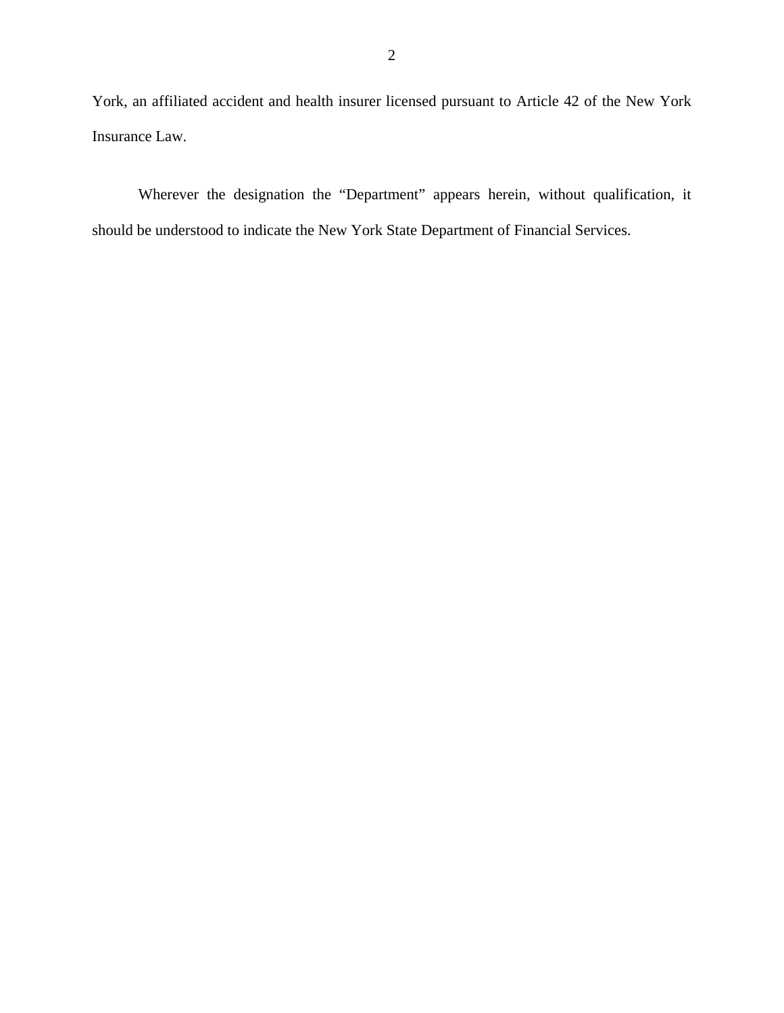York, an affiliated accident and health insurer licensed pursuant to Article 42 of the New York Insurance Law.

Wherever the designation the "Department" appears herein, without qualification, it should be understood to indicate the New York State Department of Financial Services.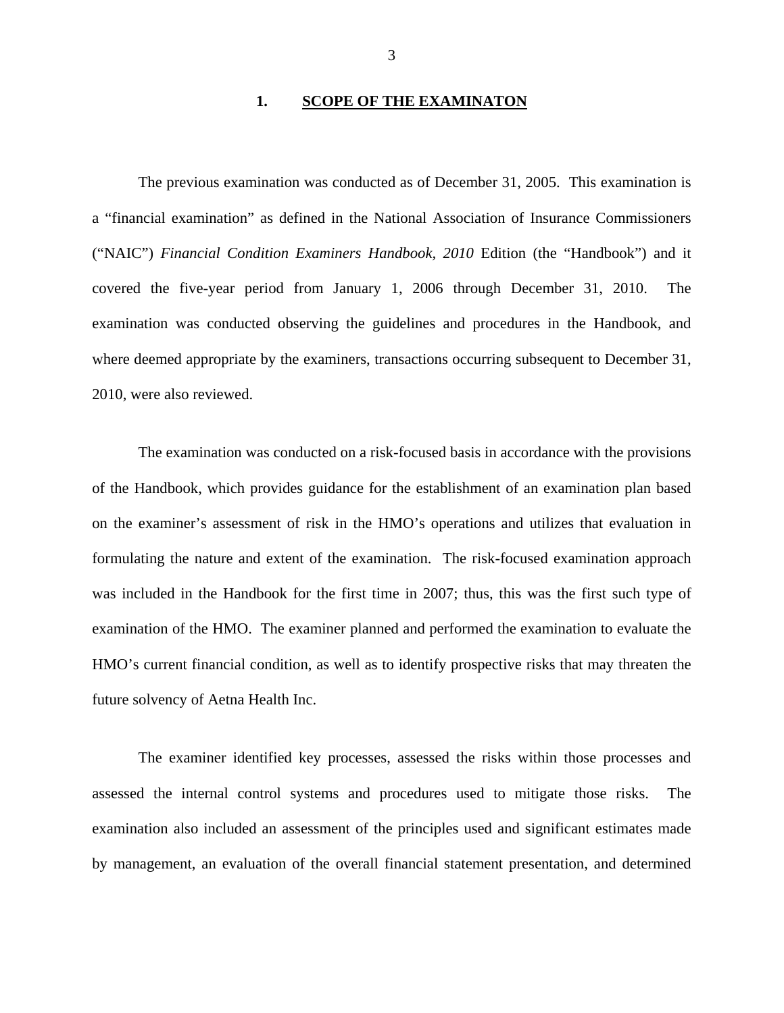#### **1. SCOPE OF THE EXAMINATON**

The previous examination was conducted as of December 31, 2005. This examination is a "financial examination" as defined in the National Association of Insurance Commissioners ("NAIC") *Financial Condition Examiners Handbook, 2010* Edition (the "Handbook") and it covered the five-year period from January 1, 2006 through December 31, 2010. The examination was conducted observing the guidelines and procedures in the Handbook, and where deemed appropriate by the examiners, transactions occurring subsequent to December 31, 2010, were also reviewed.

The examination was conducted on a risk-focused basis in accordance with the provisions of the Handbook, which provides guidance for the establishment of an examination plan based on the examiner's assessment of risk in the HMO's operations and utilizes that evaluation in formulating the nature and extent of the examination. The risk-focused examination approach was included in the Handbook for the first time in 2007; thus, this was the first such type of examination of the HMO. The examiner planned and performed the examination to evaluate the HMO's current financial condition, as well as to identify prospective risks that may threaten the future solvency of Aetna Health Inc.

The examiner identified key processes, assessed the risks within those processes and assessed the internal control systems and procedures used to mitigate those risks. The examination also included an assessment of the principles used and significant estimates made by management, an evaluation of the overall financial statement presentation, and determined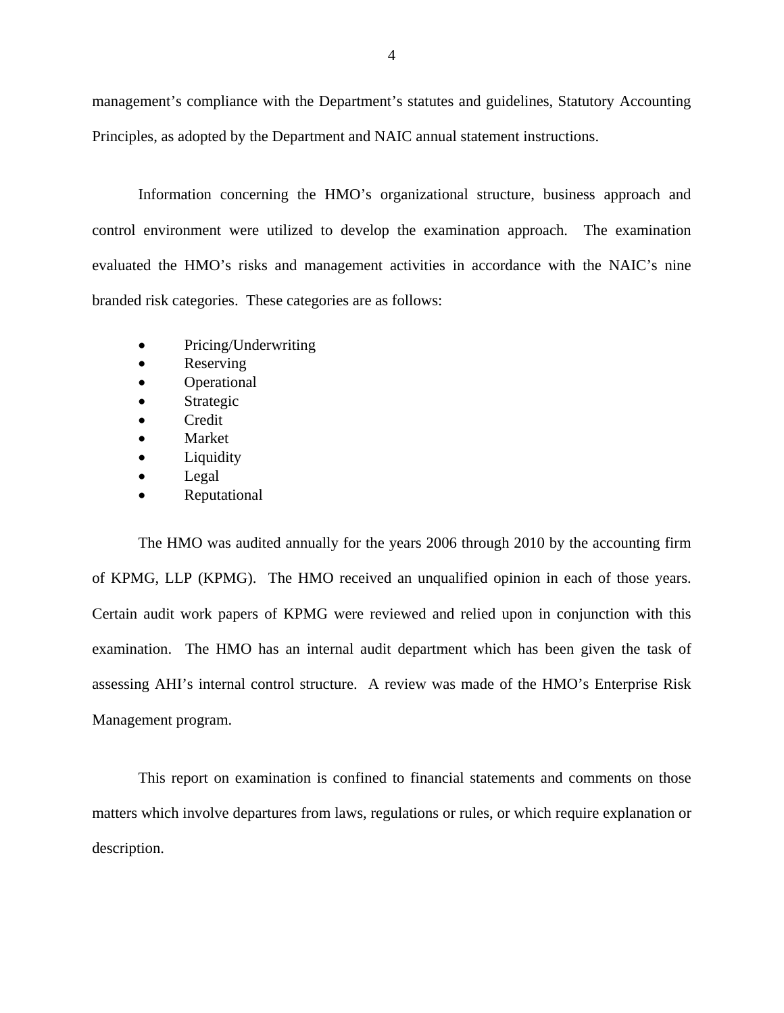management's compliance with the Department's statutes and guidelines, Statutory Accounting Principles, as adopted by the Department and NAIC annual statement instructions.

Information concerning the HMO's organizational structure, business approach and control environment were utilized to develop the examination approach. The examination evaluated the HMO's risks and management activities in accordance with the NAIC's nine branded risk categories. These categories are as follows:

- Pricing/Underwriting
- Reserving
- Operational
- Strategic
- Credit
- Market
- Liquidity
- Legal
- Reputational

 of KPMG, LLP (KPMG). The HMO received an unqualified opinion in each of those years. Certain audit work papers of KPMG were reviewed and relied upon in conjunction with this The HMO was audited annually for the years 2006 through 2010 by the accounting firm examination. The HMO has an internal audit department which has been given the task of assessing AHI's internal control structure. A review was made of the HMO's Enterprise Risk Management program.

This report on examination is confined to financial statements and comments on those matters which involve departures from laws, regulations or rules, or which require explanation or description.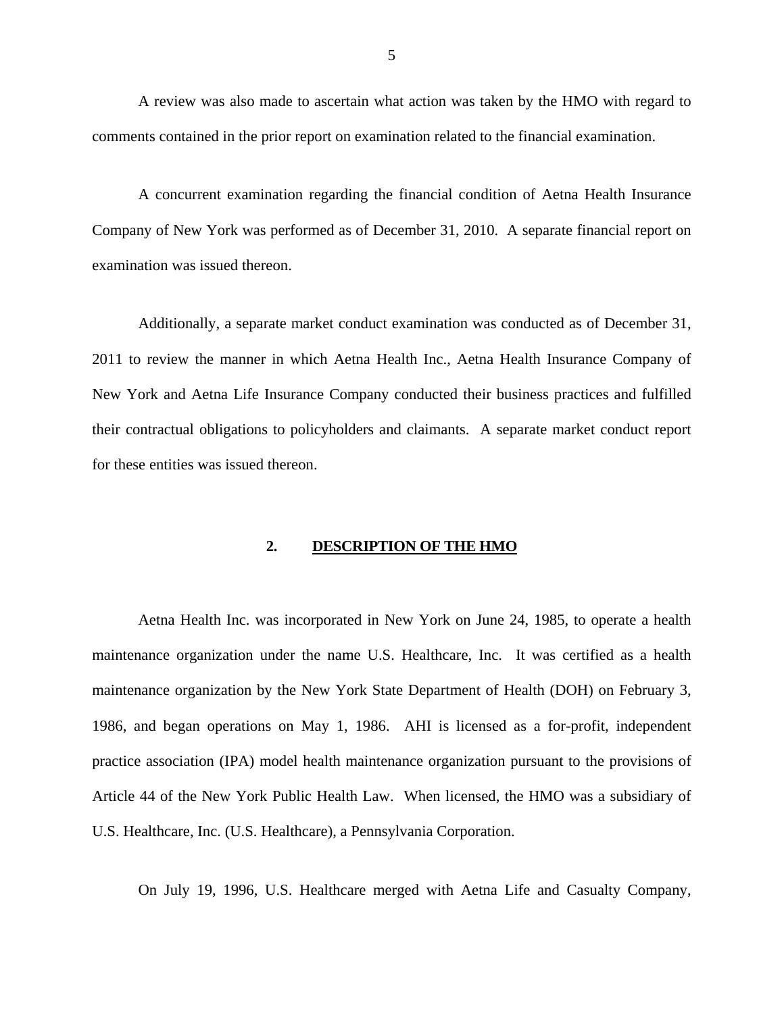A review was also made to ascertain what action was taken by the HMO with regard to comments contained in the prior report on examination related to the financial examination.

A concurrent examination regarding the financial condition of Aetna Health Insurance Company of New York was performed as of December 31, 2010. A separate financial report on examination was issued thereon.

Additionally, a separate market conduct examination was conducted as of December 31, 2011 to review the manner in which Aetna Health Inc., Aetna Health Insurance Company of New York and Aetna Life Insurance Company conducted their business practices and fulfilled their contractual obligations to policyholders and claimants. A separate market conduct report for these entities was issued thereon.

#### **2. DESCRIPTION OF THE HMO**

Aetna Health Inc. was incorporated in New York on June 24, 1985, to operate a health maintenance organization under the name U.S. Healthcare, Inc. It was certified as a health maintenance organization by the New York State Department of Health (DOH) on February 3, 1986, and began operations on May 1, 1986. AHI is licensed as a for-profit, independent practice association (IPA) model health maintenance organization pursuant to the provisions of Article 44 of the New York Public Health Law. When licensed, the HMO was a subsidiary of U.S. Healthcare, Inc. (U.S. Healthcare), a Pennsylvania Corporation.

On July 19, 1996, U.S. Healthcare merged with Aetna Life and Casualty Company,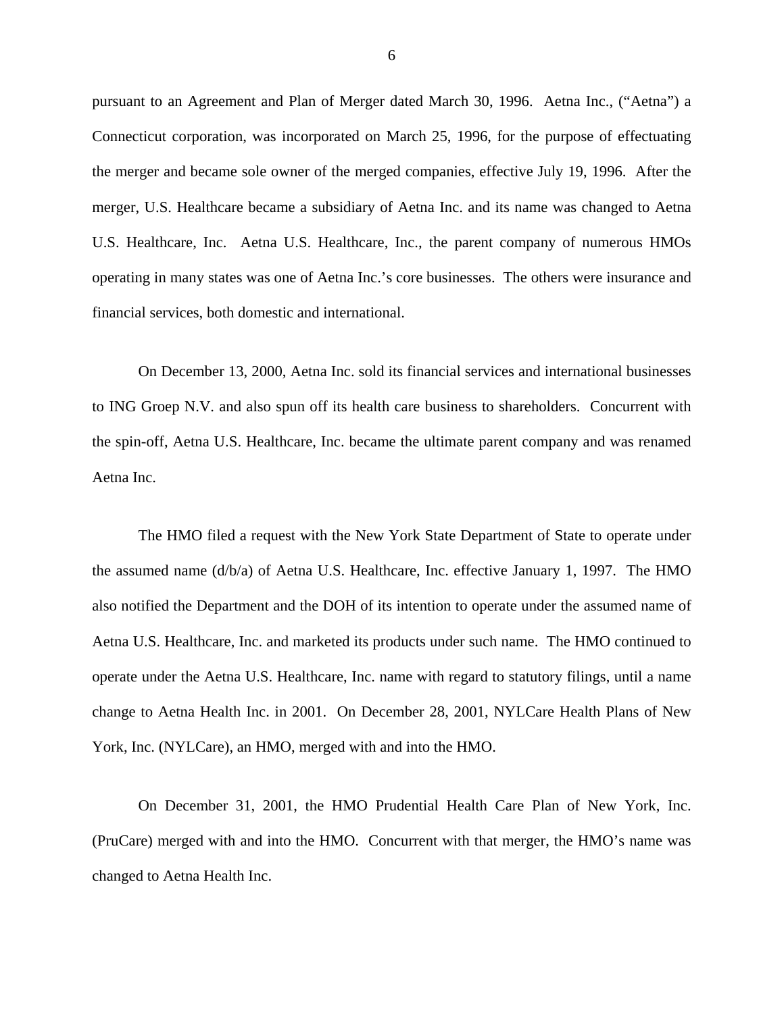pursuant to an Agreement and Plan of Merger dated March 30, 1996. Aetna Inc., ("Aetna") a Connecticut corporation, was incorporated on March 25, 1996, for the purpose of effectuating the merger and became sole owner of the merged companies, effective July 19, 1996. After the merger, U.S. Healthcare became a subsidiary of Aetna Inc. and its name was changed to Aetna U.S. Healthcare, Inc. Aetna U.S. Healthcare, Inc., the parent company of numerous HMOs operating in many states was one of Aetna Inc.'s core businesses. The others were insurance and financial services, both domestic and international.

On December 13, 2000, Aetna Inc. sold its financial services and international businesses to ING Groep N.V. and also spun off its health care business to shareholders. Concurrent with the spin-off, Aetna U.S. Healthcare, Inc. became the ultimate parent company and was renamed Aetna Inc.

The HMO filed a request with the New York State Department of State to operate under the assumed name (d/b/a) of Aetna U.S. Healthcare, Inc. effective January 1, 1997. The HMO also notified the Department and the DOH of its intention to operate under the assumed name of Aetna U.S. Healthcare, Inc. and marketed its products under such name. The HMO continued to operate under the Aetna U.S. Healthcare, Inc. name with regard to statutory filings, until a name change to Aetna Health Inc. in 2001. On December 28, 2001, NYLCare Health Plans of New York, Inc. (NYLCare), an HMO, merged with and into the HMO.

On December 31, 2001, the HMO Prudential Health Care Plan of New York, Inc. (PruCare) merged with and into the HMO. Concurrent with that merger, the HMO's name was changed to Aetna Health Inc.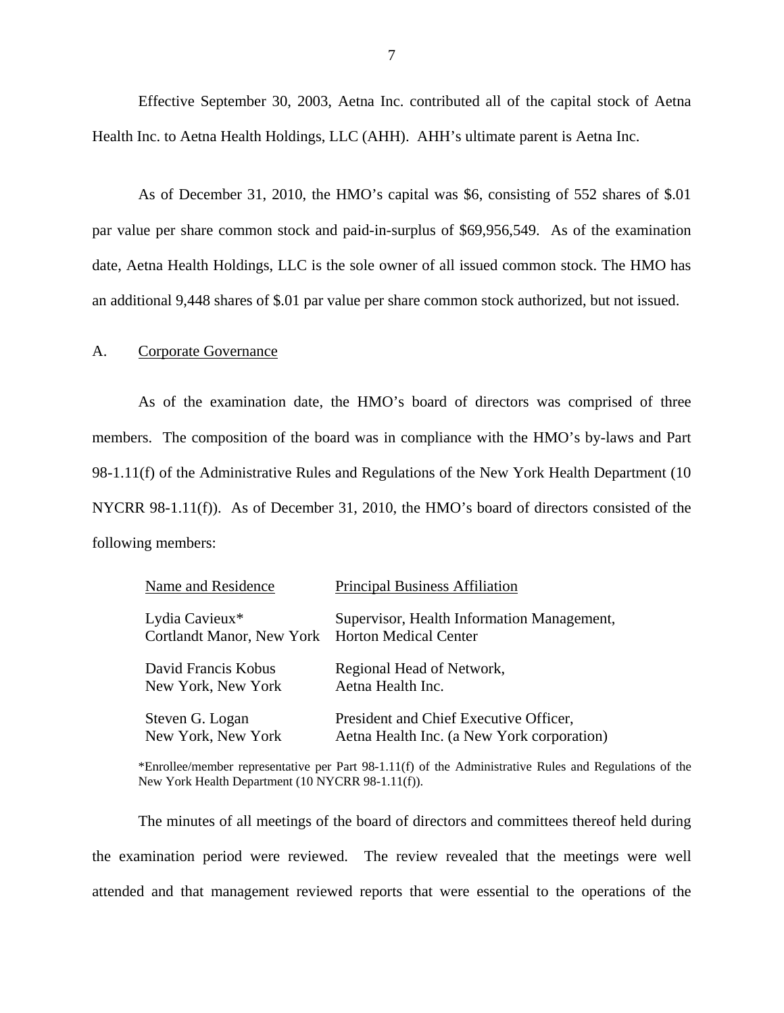<span id="page-8-0"></span>Effective September 30, 2003, Aetna Inc. contributed all of the capital stock of Aetna Health Inc. to Aetna Health Holdings, LLC (AHH). AHH's ultimate parent is Aetna Inc.

As of December 31, 2010, the HMO's capital was \$6, consisting of 552 shares of \$.01 par value per share common stock and paid-in-surplus of \$69,956,549. As of the examination date, Aetna Health Holdings, LLC is the sole owner of all issued common stock. The HMO has an additional 9,448 shares of \$.01 par value per share common stock authorized, but not issued.

#### A. Corporate Governance

As of the examination date, the HMO's board of directors was comprised of three members. The composition of the board was in compliance with the HMO's by-laws and Part 98-1.11(f) of the Administrative Rules and Regulations of the New York Health Department (10 NYCRR 98-1.11(f)). As of December 31, 2010, the HMO's board of directors consisted of the following members:

| Name and Residence                                                | <b>Principal Business Affiliation</b>      |
|-------------------------------------------------------------------|--------------------------------------------|
| Lydia Cavieux*<br>Cortlandt Manor, New York Horton Medical Center | Supervisor, Health Information Management, |
| David Francis Kobus                                               | Regional Head of Network,                  |
| New York, New York                                                | Aetna Health Inc.                          |
| Steven G. Logan                                                   | President and Chief Executive Officer,     |
| New York, New York                                                | Aetna Health Inc. (a New York corporation) |

 \*Enrollee/member representative per Part 98-1.11(f) of the Administrative Rules and Regulations of the New York Health Department (10 NYCRR 98-1.11(f)).

The minutes of all meetings of the board of directors and committees thereof held during the examination period were reviewed. The review revealed that the meetings were well attended and that management reviewed reports that were essential to the operations of the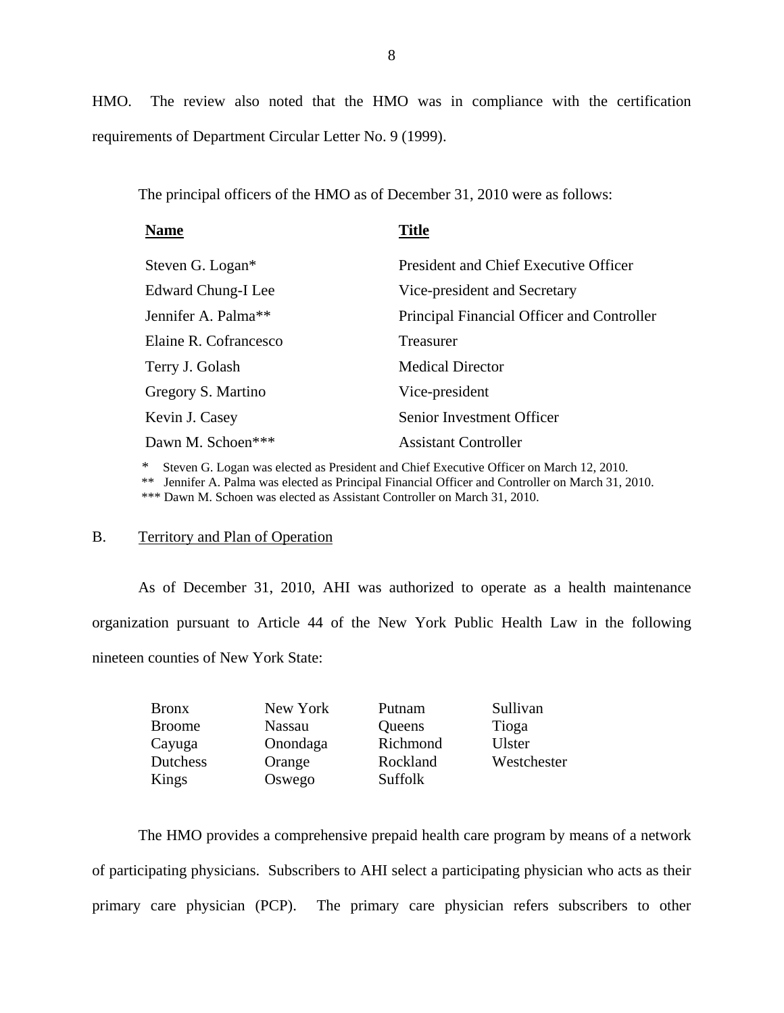HMO. The review also noted that the HMO was in compliance with the certification requirements of Department Circular Letter No. 9 (1999).

The principal officers of the HMO as of December 31, 2010 were as follows:

| <b>Name</b>                     | <b>Title</b>                               |
|---------------------------------|--------------------------------------------|
| Steven G. Logan*                | President and Chief Executive Officer      |
| Edward Chung-I Lee              | Vice-president and Secretary               |
| Jennifer A. Palma <sup>**</sup> | Principal Financial Officer and Controller |
| Elaine R. Cofrancesco           | Treasurer                                  |
| Terry J. Golash                 | <b>Medical Director</b>                    |
| Gregory S. Martino              | Vice-president                             |
| Kevin J. Casey                  | Senior Investment Officer                  |
| Dawn M. Schoen***               | <b>Assistant Controller</b>                |
|                                 |                                            |

\* Steven G. Logan was elected as President and Chief Executive Officer on March 12, 2010.

\*\* Jennifer A. Palma was elected as Principal Financial Officer and Controller on March 31, 2010.

\*\*\* Dawn M. Schoen was elected as Assistant Controller on March 31, 2010.

#### B. Territory and Plan of Operation

As of December 31, 2010, AHI was authorized to operate as a health maintenance organization pursuant to Article 44 of the New York Public Health Law in the following nineteen counties of New York State:

| <b>Bronx</b>    | New York      | Putnam   | Sullivan      |
|-----------------|---------------|----------|---------------|
| <b>Broome</b>   | <b>Nassau</b> | Queens   | Tioga         |
| Cayuga          | Onondaga      | Richmond | <b>Ulster</b> |
| <b>Dutchess</b> | Orange        | Rockland | Westchester   |
| Kings           | Oswego        | Suffolk  |               |

The HMO provides a comprehensive prepaid health care program by means of a network of participating physicians. Subscribers to AHI select a participating physician who acts as their primary care physician (PCP). The primary care physician refers subscribers to other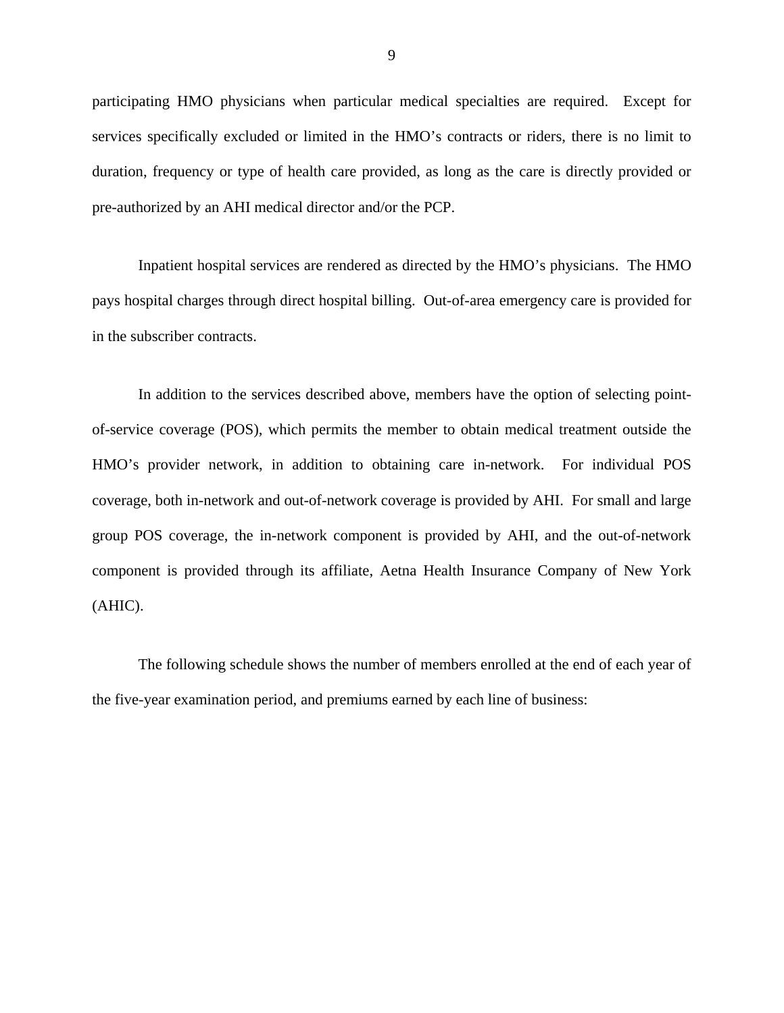participating HMO physicians when particular medical specialties are required. Except for services specifically excluded or limited in the HMO's contracts or riders, there is no limit to duration, frequency or type of health care provided, as long as the care is directly provided or pre-authorized by an AHI medical director and/or the PCP.

Inpatient hospital services are rendered as directed by the HMO's physicians. The HMO pays hospital charges through direct hospital billing. Out-of-area emergency care is provided for in the subscriber contracts.

In addition to the services described above, members have the option of selecting pointof-service coverage (POS), which permits the member to obtain medical treatment outside the HMO's provider network, in addition to obtaining care in-network. For individual POS coverage, both in-network and out-of-network coverage is provided by AHI. For small and large group POS coverage, the in-network component is provided by AHI, and the out-of-network component is provided through its affiliate, Aetna Health Insurance Company of New York (AHIC).

The following schedule shows the number of members enrolled at the end of each year of the five-year examination period, and premiums earned by each line of business: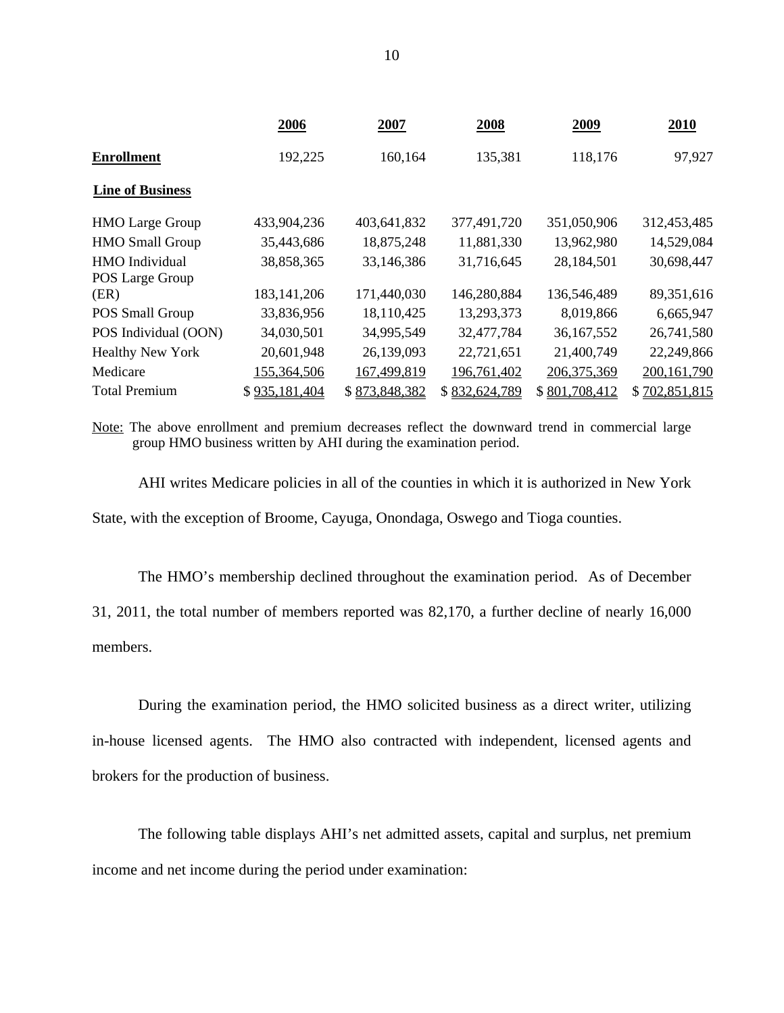|                         | 2006          | 2007          | 2008          | 2009          | 2010          |
|-------------------------|---------------|---------------|---------------|---------------|---------------|
| <b>Enrollment</b>       | 192,225       | 160,164       | 135,381       | 118,176       | 97,927        |
| <b>Line of Business</b> |               |               |               |               |               |
| <b>HMO</b> Large Group  | 433,904,236   | 403,641,832   | 377,491,720   | 351,050,906   | 312,453,485   |
| <b>HMO Small Group</b>  | 35,443,686    | 18,875,248    | 11,881,330    | 13,962,980    | 14,529,084    |
| <b>HMO</b> Individual   | 38,858,365    | 33,146,386    | 31,716,645    | 28,184,501    | 30,698,447    |
| POS Large Group         |               |               |               |               |               |
| (ER)                    | 183, 141, 206 | 171,440,030   | 146,280,884   | 136,546,489   | 89,351,616    |
| POS Small Group         | 33,836,956    | 18,110,425    | 13,293,373    | 8,019,866     | 6,665,947     |
| POS Individual (OON)    | 34,030,501    | 34,995,549    | 32,477,784    | 36,167,552    | 26,741,580    |
| <b>Healthy New York</b> | 20,601,948    | 26,139,093    | 22,721,651    | 21,400,749    | 22,249,866    |
| Medicare                | 155,364,506   | 167,499,819   | 196,761,402   | 206, 375, 369 | 200, 161, 790 |
| <b>Total Premium</b>    | \$935,181,404 | \$873,848,382 | \$832,624,789 | \$801,708,412 | \$702,851,815 |

Note: The above enrollment and premium decreases reflect the downward trend in commercial large group HMO business written by AHI during the examination period.

AHI writes Medicare policies in all of the counties in which it is authorized in New York State, with the exception of Broome, Cayuga, Onondaga, Oswego and Tioga counties.

The HMO's membership declined throughout the examination period. As of December 31, 2011, the total number of members reported was 82,170, a further decline of nearly 16,000 members.

During the examination period, the HMO solicited business as a direct writer, utilizing in-house licensed agents. The HMO also contracted with independent, licensed agents and brokers for the production of business.

The following table displays AHI's net admitted assets, capital and surplus, net premium income and net income during the period under examination: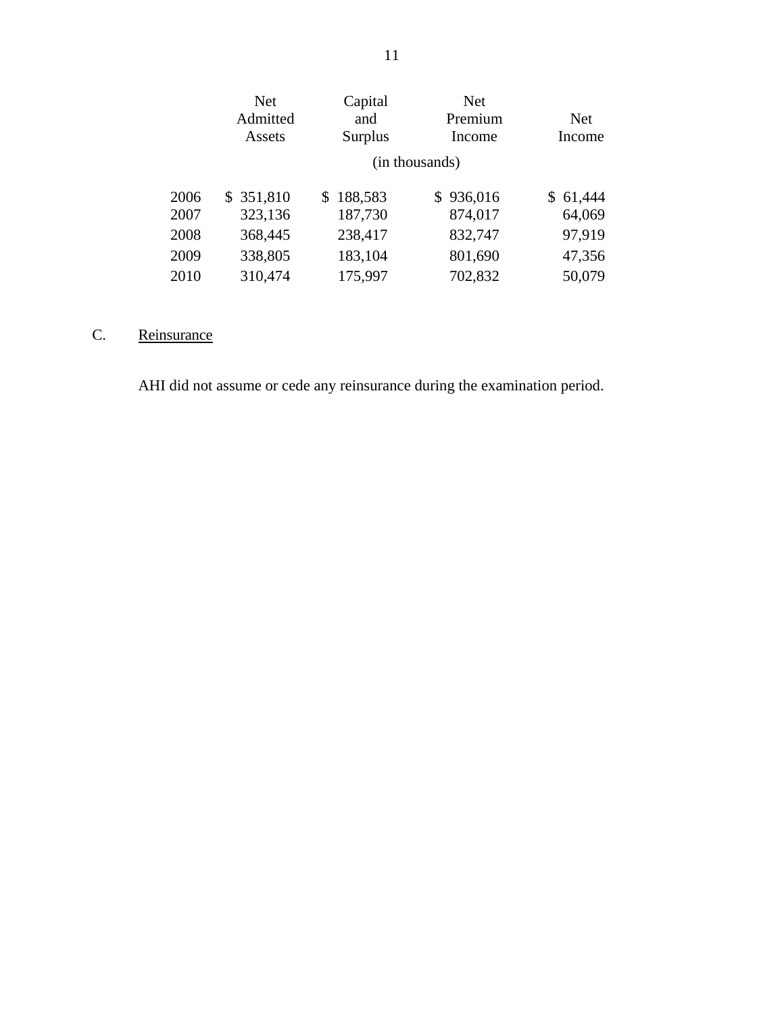| <b>Net</b>    | Capital       | <b>Net</b> |                |
|---------------|---------------|------------|----------------|
| Admitted      | and           | Premium    | Net            |
| Assets        | Surplus       | Income     | Income         |
|               |               |            |                |
| 351,810<br>S. | 188,583<br>\$ | \$936,016  | 61,444<br>S.   |
| 323,136       | 187,730       | 874,017    | 64,069         |
| 368,445       | 238,417       | 832,747    | 97,919         |
| 338,805       | 183,104       | 801,690    | 47,356         |
| 310,474       | 175,997       | 702,832    | 50,079         |
|               |               |            | (in thousands) |

# C. Reinsurance

AHI did not assume or cede any reinsurance during the examination period.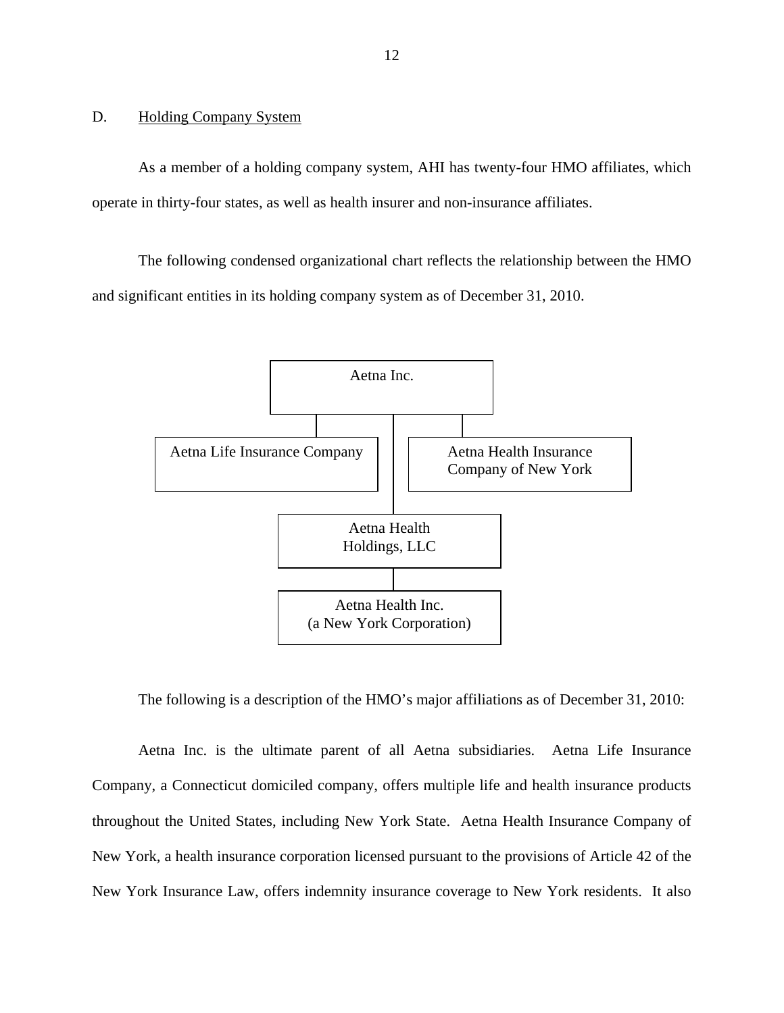## <span id="page-13-0"></span>D. Holding Company System

As a member of a holding company system, AHI has twenty-four HMO affiliates, which operate in thirty-four states, as well as health insurer and non-insurance affiliates.

The following condensed organizational chart reflects the relationship between the HMO and significant entities in its holding company system as of December 31, 2010.



The following is a description of the HMO's major affiliations as of December 31, 2010:

Aetna Inc. is the ultimate parent of all Aetna subsidiaries. Aetna Life Insurance Company, a Connecticut domiciled company, offers multiple life and health insurance products throughout the United States, including New York State. Aetna Health Insurance Company of New York, a health insurance corporation licensed pursuant to the provisions of Article 42 of the New York Insurance Law, offers indemnity insurance coverage to New York residents. It also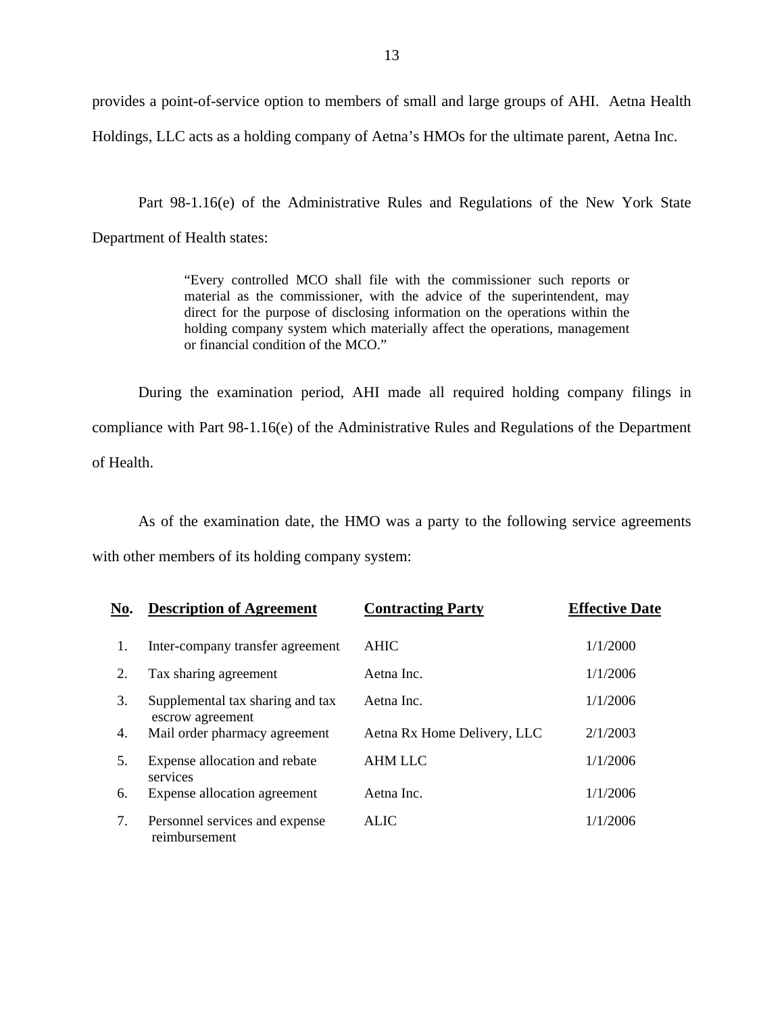provides a point-of-service option to members of small and large groups of AHI. Aetna Health Holdings, LLC acts as a holding company of Aetna's HMOs for the ultimate parent, Aetna Inc.

Part 98-1.16(e) of the Administrative Rules and Regulations of the New York State Department of Health states:

> "Every controlled MCO shall file with the commissioner such reports or material as the commissioner, with the advice of the superintendent, may direct for the purpose of disclosing information on the operations within the holding company system which materially affect the operations, management or financial condition of the MCO."

During the examination period, AHI made all required holding company filings in compliance with Part 98-1.16(e) of the Administrative Rules and Regulations of the Department of Health.

As of the examination date, the HMO was a party to the following service agreements with other members of its holding company system:

| No. | <b>Description of Agreement</b>                      | <b>Contracting Party</b>    | <b>Effective Date</b> |
|-----|------------------------------------------------------|-----------------------------|-----------------------|
| 1.  | Inter-company transfer agreement                     | AHIC                        | 1/1/2000              |
| 2.  | Tax sharing agreement                                | Aetna Inc.                  | 1/1/2006              |
| 3.  | Supplemental tax sharing and tax<br>escrow agreement | Aetna Inc.                  | 1/1/2006              |
| 4.  | Mail order pharmacy agreement                        | Aetna Rx Home Delivery, LLC | 2/1/2003              |
| 5.  | Expense allocation and rebate<br>services            | <b>AHM LLC</b>              | 1/1/2006              |
| 6.  | Expense allocation agreement                         | Aetna Inc.                  | 1/1/2006              |
| 7.  | Personnel services and expense<br>reimbursement      | <b>ALIC</b>                 | 1/1/2006              |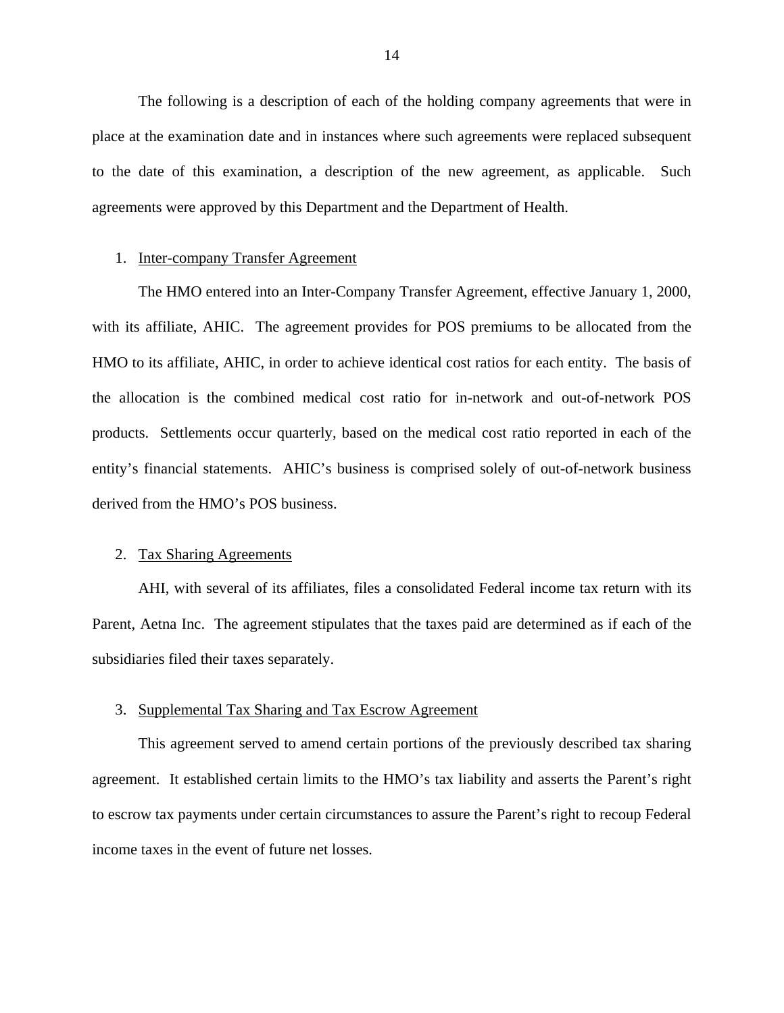The following is a description of each of the holding company agreements that were in place at the examination date and in instances where such agreements were replaced subsequent to the date of this examination, a description of the new agreement, as applicable. Such agreements were approved by this Department and the Department of Health.

### 1. Inter-company Transfer Agreement

The HMO entered into an Inter-Company Transfer Agreement, effective January 1, 2000, with its affiliate, AHIC. The agreement provides for POS premiums to be allocated from the HMO to its affiliate, AHIC, in order to achieve identical cost ratios for each entity. The basis of the allocation is the combined medical cost ratio for in-network and out-of-network POS products. Settlements occur quarterly, based on the medical cost ratio reported in each of the entity's financial statements. AHIC's business is comprised solely of out-of-network business derived from the HMO's POS business.

## 2. Tax Sharing Agreements

AHI, with several of its affiliates, files a consolidated Federal income tax return with its Parent, Aetna Inc. The agreement stipulates that the taxes paid are determined as if each of the subsidiaries filed their taxes separately.

#### 3. Supplemental Tax Sharing and Tax Escrow Agreement

This agreement served to amend certain portions of the previously described tax sharing agreement. It established certain limits to the HMO's tax liability and asserts the Parent's right to escrow tax payments under certain circumstances to assure the Parent's right to recoup Federal income taxes in the event of future net losses.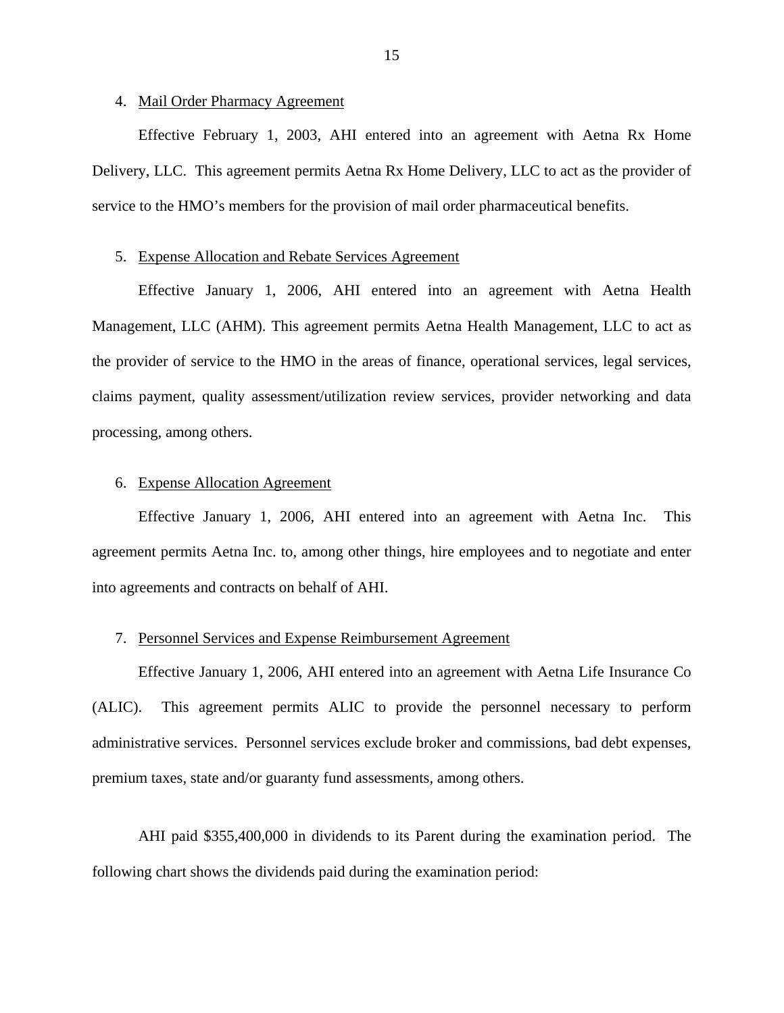## 4. Mail Order Pharmacy Agreement

Effective February 1, 2003, AHI entered into an agreement with Aetna Rx Home Delivery, LLC. This agreement permits Aetna Rx Home Delivery, LLC to act as the provider of service to the HMO's members for the provision of mail order pharmaceutical benefits.

#### 5. Expense Allocation and Rebate Services Agreement

Effective January 1, 2006, AHI entered into an agreement with Aetna Health Management, LLC (AHM). This agreement permits Aetna Health Management, LLC to act as the provider of service to the HMO in the areas of finance, operational services, legal services, claims payment, quality assessment/utilization review services, provider networking and data processing, among others.

## 6. Expense Allocation Agreement

Effective January 1, 2006, AHI entered into an agreement with Aetna Inc. This agreement permits Aetna Inc. to, among other things, hire employees and to negotiate and enter into agreements and contracts on behalf of AHI.

#### 7. Personnel Services and Expense Reimbursement Agreement

Effective January 1, 2006, AHI entered into an agreement with Aetna Life Insurance Co (ALIC). This agreement permits ALIC to provide the personnel necessary to perform administrative services. Personnel services exclude broker and commissions, bad debt expenses, premium taxes, state and/or guaranty fund assessments, among others.

AHI paid \$355,400,000 in dividends to its Parent during the examination period. The following chart shows the dividends paid during the examination period: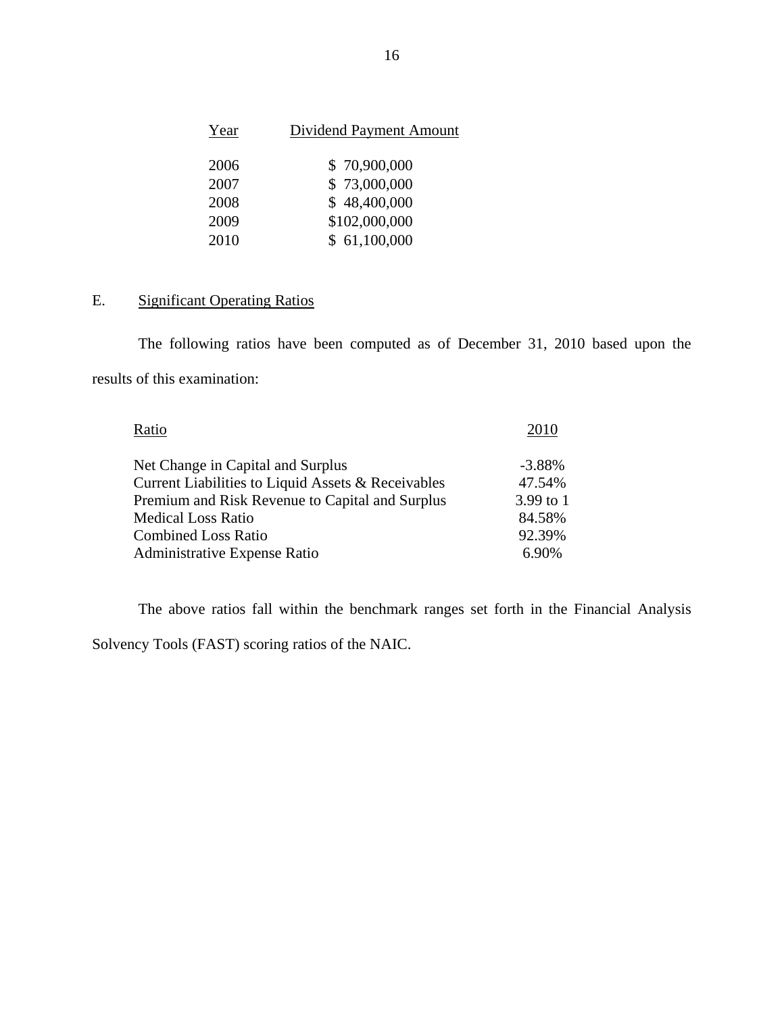| Year | <b>Dividend Payment Amount</b> |
|------|--------------------------------|
| 2006 | \$70,900,000                   |
| 2007 | \$73,000,000                   |
| 2008 | \$48,400,000                   |
| 2009 | \$102,000,000                  |
| 2010 | \$61,100,000                   |

## E. Significant Operating Ratios

The following ratios have been computed as of December 31, 2010 based upon the results of this examination:

| Ratio                                              | 2010      |
|----------------------------------------------------|-----------|
| Net Change in Capital and Surplus                  | $-3.88%$  |
| Current Liabilities to Liquid Assets & Receivables | 47.54%    |
| Premium and Risk Revenue to Capital and Surplus    | 3.99 to 1 |
| <b>Medical Loss Ratio</b>                          | 84.58%    |
| <b>Combined Loss Ratio</b>                         | 92.39%    |
| Administrative Expense Ratio                       | 6.90%     |

The above ratios fall within the benchmark ranges set forth in the Financial Analysis

Solvency Tools (FAST) scoring ratios of the NAIC.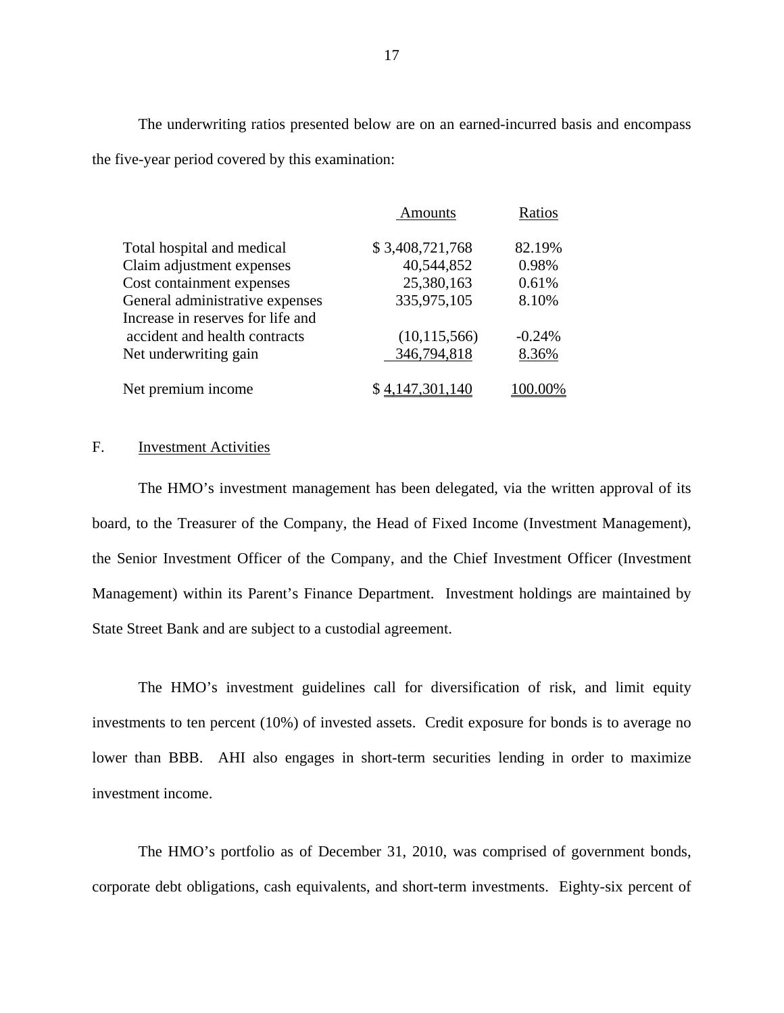The underwriting ratios presented below are on an earned-incurred basis and encompass the five-year period covered by this examination:

|                                   | <b>Amounts</b>  | Ratios   |
|-----------------------------------|-----------------|----------|
| Total hospital and medical        | \$3,408,721,768 | 82.19%   |
| Claim adjustment expenses         | 40,544,852      | 0.98%    |
| Cost containment expenses         | 25,380,163      | 0.61%    |
| General administrative expenses   | 335,975,105     | 8.10%    |
| Increase in reserves for life and |                 |          |
| accident and health contracts     | (10, 115, 566)  | $-0.24%$ |
| Net underwriting gain             | 346,794,818     | 8.36%    |
| Net premium income                | \$4,147,301,140 | 100.00%  |

## F. Investment Activities

The HMO's investment management has been delegated, via the written approval of its board, to the Treasurer of the Company, the Head of Fixed Income (Investment Management), the Senior Investment Officer of the Company, and the Chief Investment Officer (Investment Management) within its Parent's Finance Department. Investment holdings are maintained by State Street Bank and are subject to a custodial agreement.

The HMO's investment guidelines call for diversification of risk, and limit equity investments to ten percent (10%) of invested assets. Credit exposure for bonds is to average no lower than BBB. AHI also engages in short-term securities lending in order to maximize investment income.

The HMO's portfolio as of December 31, 2010, was comprised of government bonds, corporate debt obligations, cash equivalents, and short-term investments. Eighty-six percent of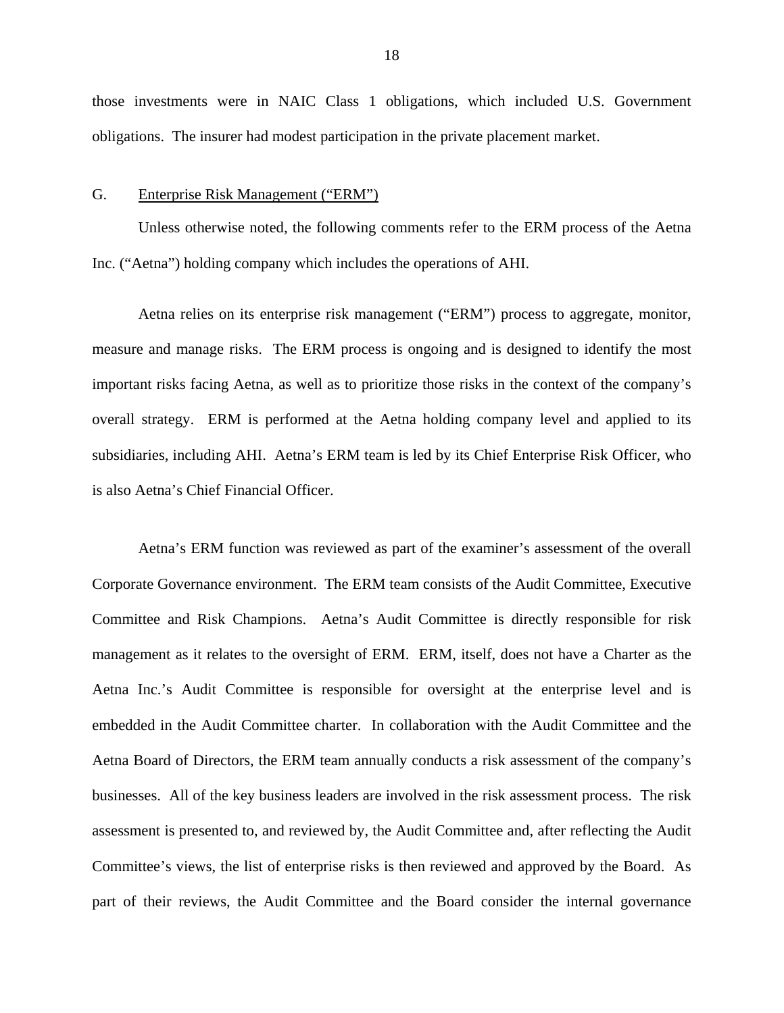<span id="page-19-0"></span>those investments were in NAIC Class 1 obligations, which included U.S. Government obligations. The insurer had modest participation in the private placement market.

#### G. Enterprise Risk Management ("ERM")

Unless otherwise noted, the following comments refer to the ERM process of the Aetna Inc. ("Aetna") holding company which includes the operations of AHI.

Aetna relies on its enterprise risk management ("ERM") process to aggregate, monitor, measure and manage risks. The ERM process is ongoing and is designed to identify the most important risks facing Aetna, as well as to prioritize those risks in the context of the company's overall strategy. ERM is performed at the Aetna holding company level and applied to its subsidiaries, including AHI. Aetna's ERM team is led by its Chief Enterprise Risk Officer, who is also Aetna's Chief Financial Officer.

Aetna's ERM function was reviewed as part of the examiner's assessment of the overall Corporate Governance environment. The ERM team consists of the Audit Committee, Executive Committee and Risk Champions. Aetna's Audit Committee is directly responsible for risk management as it relates to the oversight of ERM. ERM, itself, does not have a Charter as the Aetna Inc.'s Audit Committee is responsible for oversight at the enterprise level and is embedded in the Audit Committee charter. In collaboration with the Audit Committee and the Aetna Board of Directors, the ERM team annually conducts a risk assessment of the company's businesses. All of the key business leaders are involved in the risk assessment process. The risk assessment is presented to, and reviewed by, the Audit Committee and, after reflecting the Audit Committee's views, the list of enterprise risks is then reviewed and approved by the Board. As part of their reviews, the Audit Committee and the Board consider the internal governance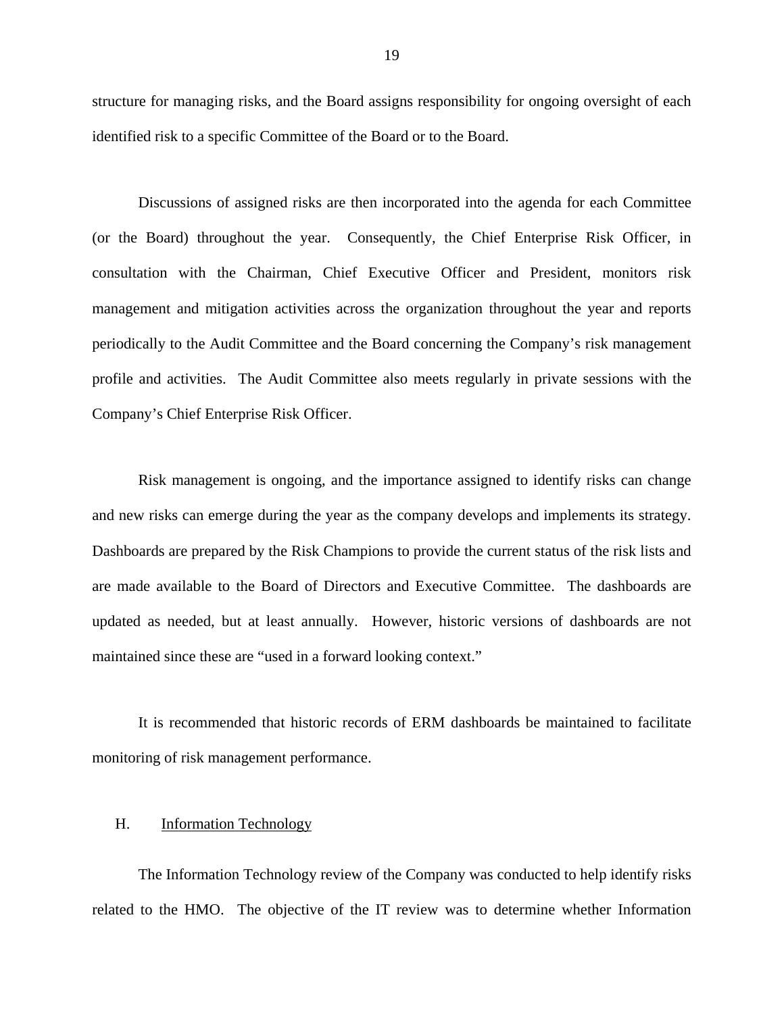<span id="page-20-0"></span>structure for managing risks, and the Board assigns responsibility for ongoing oversight of each identified risk to a specific Committee of the Board or to the Board.

Discussions of assigned risks are then incorporated into the agenda for each Committee (or the Board) throughout the year. Consequently, the Chief Enterprise Risk Officer, in consultation with the Chairman, Chief Executive Officer and President, monitors risk management and mitigation activities across the organization throughout the year and reports periodically to the Audit Committee and the Board concerning the Company's risk management profile and activities. The Audit Committee also meets regularly in private sessions with the Company's Chief Enterprise Risk Officer.

Risk management is ongoing, and the importance assigned to identify risks can change and new risks can emerge during the year as the company develops and implements its strategy. Dashboards are prepared by the Risk Champions to provide the current status of the risk lists and are made available to the Board of Directors and Executive Committee. The dashboards are updated as needed, but at least annually. However, historic versions of dashboards are not maintained since these are "used in a forward looking context."

It is recommended that historic records of ERM dashboards be maintained to facilitate monitoring of risk management performance.

## H. Information Technology

The Information Technology review of the Company was conducted to help identify risks related to the HMO. The objective of the IT review was to determine whether Information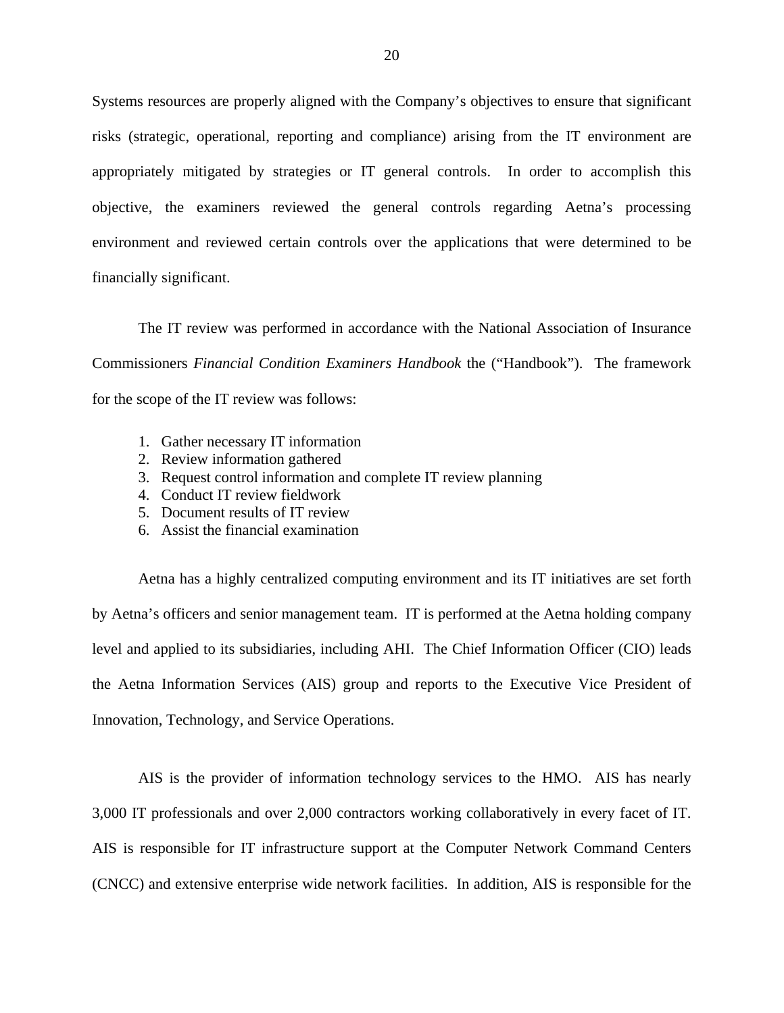Systems resources are properly aligned with the Company's objectives to ensure that significant risks (strategic, operational, reporting and compliance) arising from the IT environment are appropriately mitigated by strategies or IT general controls. In order to accomplish this objective, the examiners reviewed the general controls regarding Aetna's processing environment and reviewed certain controls over the applications that were determined to be financially significant.

The IT review was performed in accordance with the National Association of Insurance Commissioners *Financial Condition Examiners Handbook* the ("Handbook"). The framework for the scope of the IT review was follows:

- 1. Gather necessary IT information
- 2. Review information gathered
- 3. Request control information and complete IT review planning
- 4. Conduct IT review fieldwork
- 5. Document results of IT review
- 6. Assist the financial examination

Aetna has a highly centralized computing environment and its IT initiatives are set forth by Aetna's officers and senior management team. IT is performed at the Aetna holding company level and applied to its subsidiaries, including AHI. The Chief Information Officer (CIO) leads the Aetna Information Services (AIS) group and reports to the Executive Vice President of Innovation, Technology, and Service Operations.

3,000 IT professionals and over 2,000 contractors working collaboratively in every facet of IT. AIS is the provider of information technology services to the HMO. AIS has nearly AIS is responsible for IT infrastructure support at the Computer Network Command Centers (CNCC) and extensive enterprise wide network facilities. In addition, AIS is responsible for the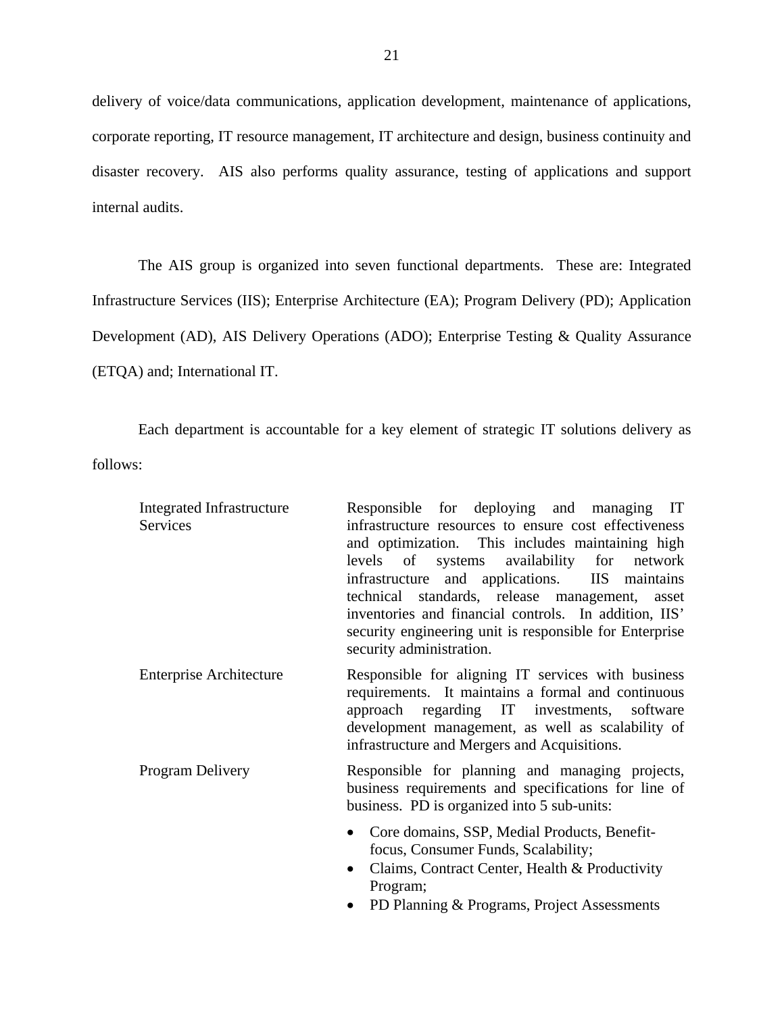delivery of voice/data communications, application development, maintenance of applications, corporate reporting, IT resource management, IT architecture and design, business continuity and disaster recovery. AIS also performs quality assurance, testing of applications and support internal audits.

The AIS group is organized into seven functional departments. These are: Integrated Infrastructure Services (IIS); Enterprise Architecture (EA); Program Delivery (PD); Application Development (AD), AIS Delivery Operations (ADO); Enterprise Testing & Quality Assurance (ETQA) and; International IT.

Each department is accountable for a key element of strategic IT solutions delivery as follows:

| Integrated Infrastructure<br>Services | Responsible for deploying and managing IT<br>infrastructure resources to ensure cost effectiveness<br>and optimization. This includes maintaining high<br>levels of systems availability for network<br>infrastructure and applications. IIS maintains<br>technical standards, release management, asset<br>inventories and financial controls. In addition, IIS'<br>security engineering unit is responsible for Enterprise<br>security administration. |
|---------------------------------------|----------------------------------------------------------------------------------------------------------------------------------------------------------------------------------------------------------------------------------------------------------------------------------------------------------------------------------------------------------------------------------------------------------------------------------------------------------|
| <b>Enterprise Architecture</b>        | Responsible for aligning IT services with business<br>requirements. It maintains a formal and continuous<br>approach regarding IT investments, software<br>development management, as well as scalability of<br>infrastructure and Mergers and Acquisitions.                                                                                                                                                                                             |
| Program Delivery                      | Responsible for planning and managing projects,<br>business requirements and specifications for line of<br>business. PD is organized into 5 sub-units:                                                                                                                                                                                                                                                                                                   |
|                                       | • Core domains, SSP, Medial Products, Benefit-<br>focus, Consumer Funds, Scalability;<br>Claims, Contract Center, Health & Productivity<br>Program;                                                                                                                                                                                                                                                                                                      |

• PD Planning & Programs, Project Assessments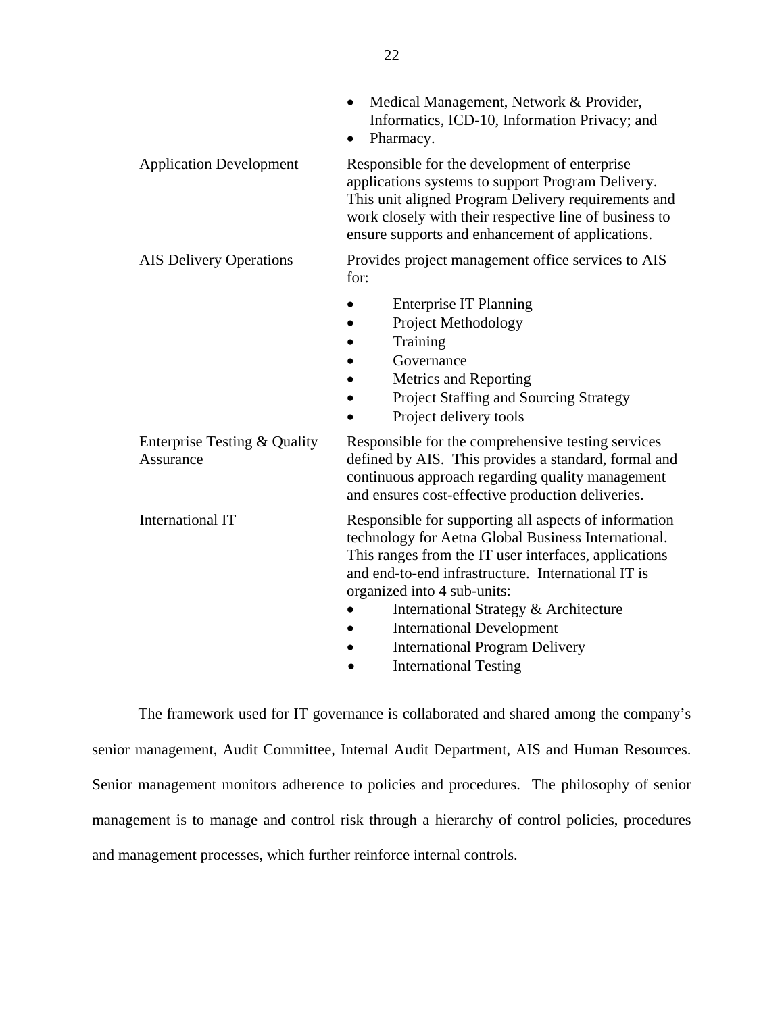|                                           | Medical Management, Network & Provider,<br>$\bullet$<br>Informatics, ICD-10, Information Privacy; and<br>Pharmacy.                                                                                                                                                                                                                                                                                               |
|-------------------------------------------|------------------------------------------------------------------------------------------------------------------------------------------------------------------------------------------------------------------------------------------------------------------------------------------------------------------------------------------------------------------------------------------------------------------|
| <b>Application Development</b>            | Responsible for the development of enterprise<br>applications systems to support Program Delivery.<br>This unit aligned Program Delivery requirements and<br>work closely with their respective line of business to<br>ensure supports and enhancement of applications.                                                                                                                                          |
| <b>AIS Delivery Operations</b>            | Provides project management office services to AIS<br>for:                                                                                                                                                                                                                                                                                                                                                       |
|                                           | <b>Enterprise IT Planning</b><br>Project Methodology<br>Training<br>Governance<br>Metrics and Reporting<br>Project Staffing and Sourcing Strategy<br>Project delivery tools                                                                                                                                                                                                                                      |
| Enterprise Testing & Quality<br>Assurance | Responsible for the comprehensive testing services<br>defined by AIS. This provides a standard, formal and<br>continuous approach regarding quality management<br>and ensures cost-effective production deliveries.                                                                                                                                                                                              |
| <b>International IT</b>                   | Responsible for supporting all aspects of information<br>technology for Aetna Global Business International.<br>This ranges from the IT user interfaces, applications<br>and end-to-end infrastructure. International IT is<br>organized into 4 sub-units:<br>International Strategy & Architecture<br><b>International Development</b><br><b>International Program Delivery</b><br><b>International Testing</b> |

The framework used for IT governance is collaborated and shared among the company's senior management, Audit Committee, Internal Audit Department, AIS and Human Resources. Senior management monitors adherence to policies and procedures. The philosophy of senior management is to manage and control risk through a hierarchy of control policies, procedures and management processes, which further reinforce internal controls.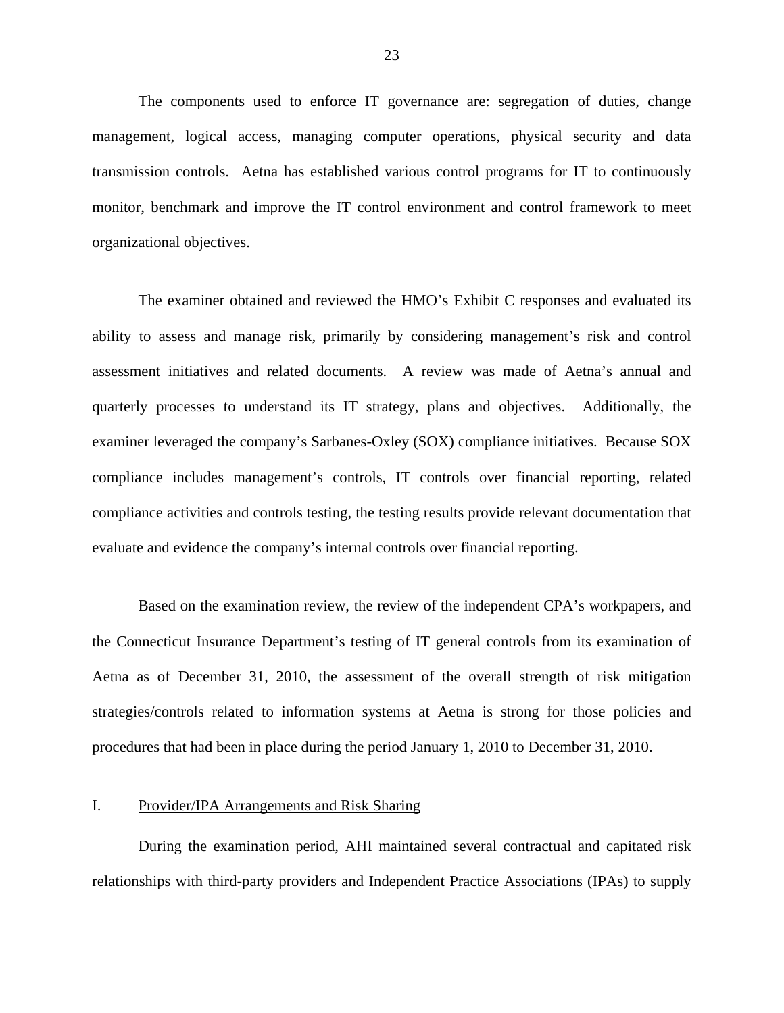<span id="page-24-0"></span>The components used to enforce IT governance are: segregation of duties, change management, logical access, managing computer operations, physical security and data transmission controls. Aetna has established various control programs for IT to continuously monitor, benchmark and improve the IT control environment and control framework to meet organizational objectives.

The examiner obtained and reviewed the HMO's Exhibit C responses and evaluated its ability to assess and manage risk, primarily by considering management's risk and control assessment initiatives and related documents. A review was made of Aetna's annual and quarterly processes to understand its IT strategy, plans and objectives. Additionally, the examiner leveraged the company's Sarbanes-Oxley (SOX) compliance initiatives. Because SOX compliance includes management's controls, IT controls over financial reporting, related compliance activities and controls testing, the testing results provide relevant documentation that evaluate and evidence the company's internal controls over financial reporting.

Based on the examination review, the review of the independent CPA's workpapers, and the Connecticut Insurance Department's testing of IT general controls from its examination of Aetna as of December 31, 2010, the assessment of the overall strength of risk mitigation strategies/controls related to information systems at Aetna is strong for those policies and procedures that had been in place during the period January 1, 2010 to December 31, 2010.

## I. Provider/IPA Arrangements and Risk Sharing

During the examination period, AHI maintained several contractual and capitated risk relationships with third-party providers and Independent Practice Associations (IPAs) to supply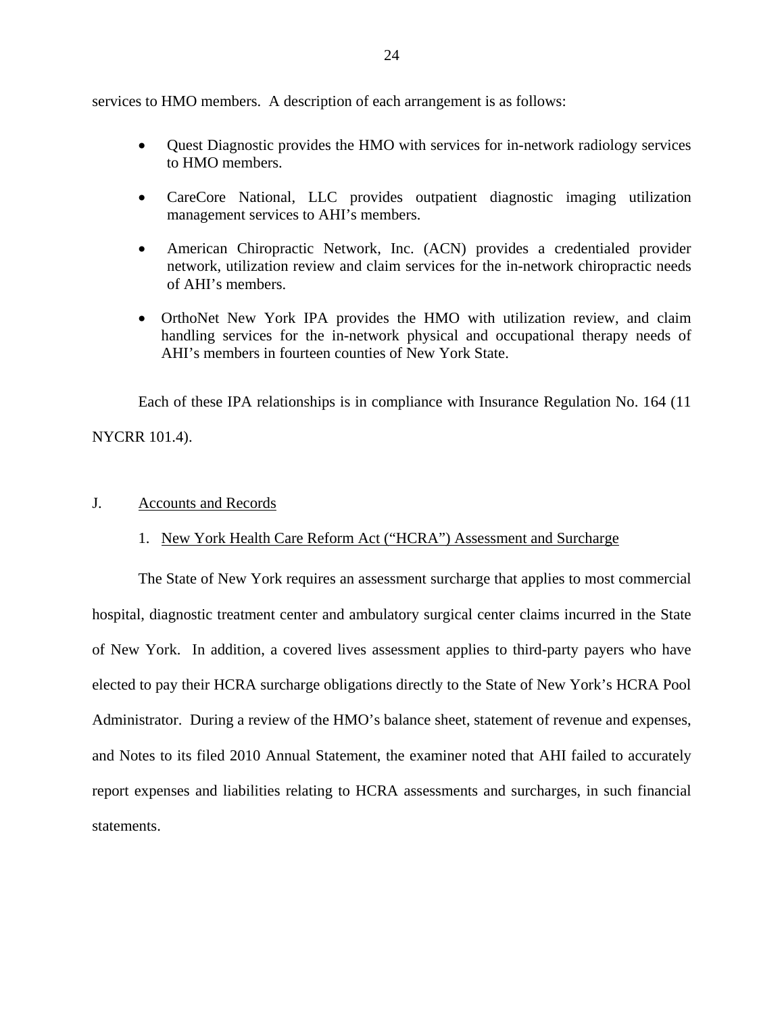<span id="page-25-0"></span>services to HMO members. A description of each arrangement is as follows:

- Quest Diagnostic provides the HMO with services for in-network radiology services to HMO members.
- CareCore National, LLC provides outpatient diagnostic imaging utilization management services to AHI's members.
- American Chiropractic Network, Inc. (ACN) provides a credentialed provider network, utilization review and claim services for the in-network chiropractic needs of AHI's members.
- OrthoNet New York IPA provides the HMO with utilization review, and claim handling services for the in-network physical and occupational therapy needs of AHI's members in fourteen counties of New York State.

Each of these IPA relationships is in compliance with Insurance Regulation No. 164 (11

NYCRR 101.4).

## J. Accounts and Records

## 1. New York Health Care Reform Act ("HCRA") Assessment and Surcharge

The State of New York requires an assessment surcharge that applies to most commercial hospital, diagnostic treatment center and ambulatory surgical center claims incurred in the State of New York. In addition, a covered lives assessment applies to third-party payers who have elected to pay their HCRA surcharge obligations directly to the State of New York's HCRA Pool Administrator. During a review of the HMO's balance sheet, statement of revenue and expenses, and Notes to its filed 2010 Annual Statement, the examiner noted that AHI failed to accurately report expenses and liabilities relating to HCRA assessments and surcharges, in such financial statements.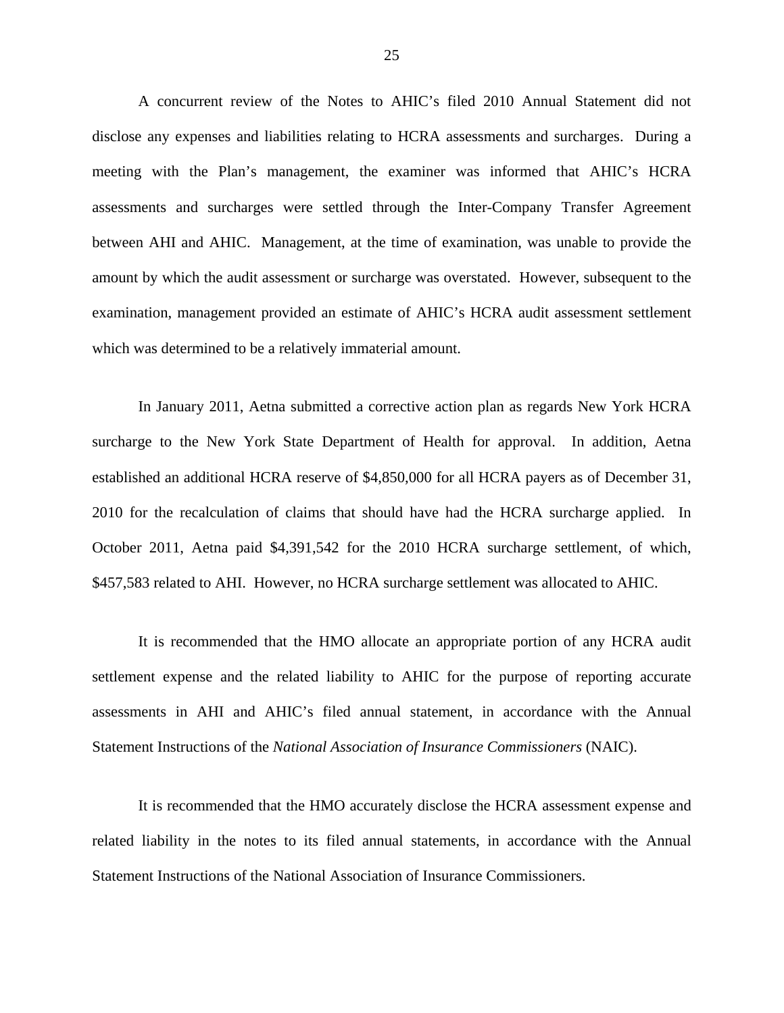A concurrent review of the Notes to AHIC's filed 2010 Annual Statement did not disclose any expenses and liabilities relating to HCRA assessments and surcharges. During a meeting with the Plan's management, the examiner was informed that AHIC's HCRA assessments and surcharges were settled through the Inter-Company Transfer Agreement between AHI and AHIC. Management, at the time of examination, was unable to provide the amount by which the audit assessment or surcharge was overstated. However, subsequent to the examination, management provided an estimate of AHIC's HCRA audit assessment settlement which was determined to be a relatively immaterial amount.

In January 2011, Aetna submitted a corrective action plan as regards New York HCRA surcharge to the New York State Department of Health for approval. In addition, Aetna established an additional HCRA reserve of \$4,850,000 for all HCRA payers as of December 31, 2010 for the recalculation of claims that should have had the HCRA surcharge applied. In October 2011, Aetna paid \$4,391,542 for the 2010 HCRA surcharge settlement, of which, \$457,583 related to AHI. However, no HCRA surcharge settlement was allocated to AHIC.

It is recommended that the HMO allocate an appropriate portion of any HCRA audit settlement expense and the related liability to AHIC for the purpose of reporting accurate assessments in AHI and AHIC's filed annual statement, in accordance with the Annual Statement Instructions of the *National Association of Insurance Commissioners* (NAIC).

It is recommended that the HMO accurately disclose the HCRA assessment expense and related liability in the notes to its filed annual statements, in accordance with the Annual Statement Instructions of the National Association of Insurance Commissioners.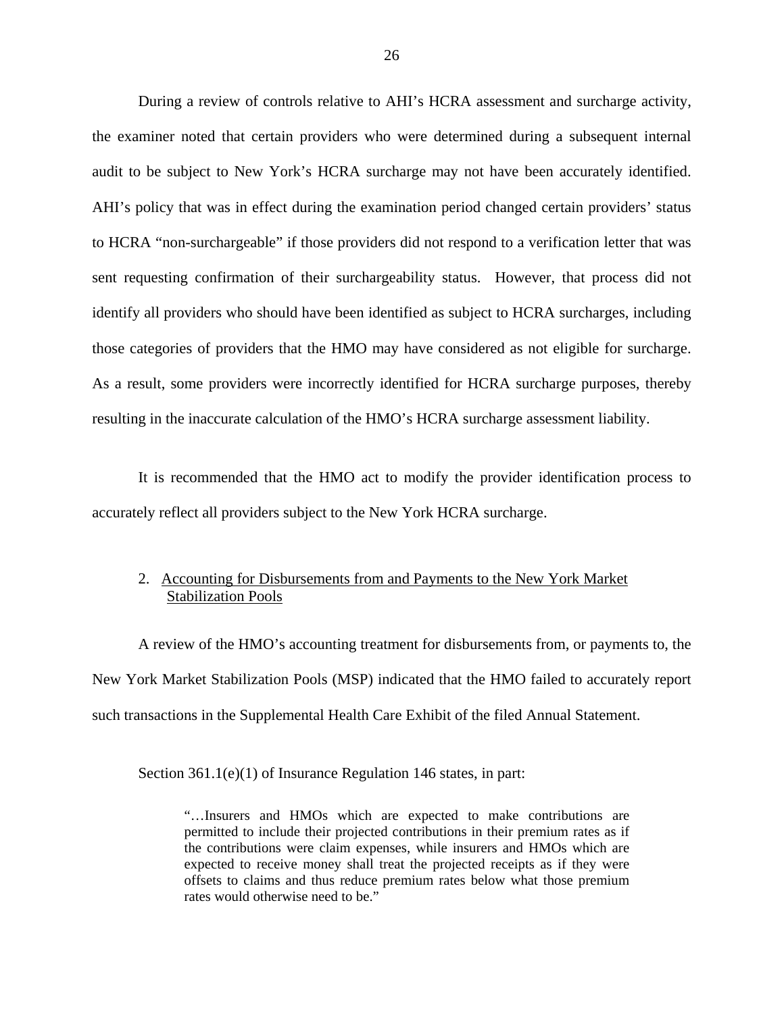During a review of controls relative to AHI's HCRA assessment and surcharge activity, the examiner noted that certain providers who were determined during a subsequent internal audit to be subject to New York's HCRA surcharge may not have been accurately identified. AHI's policy that was in effect during the examination period changed certain providers' status to HCRA "non-surchargeable" if those providers did not respond to a verification letter that was sent requesting confirmation of their surchargeability status. However, that process did not identify all providers who should have been identified as subject to HCRA surcharges, including those categories of providers that the HMO may have considered as not eligible for surcharge. As a result, some providers were incorrectly identified for HCRA surcharge purposes, thereby resulting in the inaccurate calculation of the HMO's HCRA surcharge assessment liability.

It is recommended that the HMO act to modify the provider identification process to accurately reflect all providers subject to the New York HCRA surcharge.

## 2. Accounting for Disbursements from and Payments to the New York Market Stabilization Pools

A review of the HMO's accounting treatment for disbursements from, or payments to, the New York Market Stabilization Pools (MSP) indicated that the HMO failed to accurately report such transactions in the Supplemental Health Care Exhibit of the filed Annual Statement.

Section 361.1(e)(1) of Insurance Regulation 146 states, in part:

"…Insurers and HMOs which are expected to make contributions are permitted to include their projected contributions in their premium rates as if the contributions were claim expenses, while insurers and HMOs which are expected to receive money shall treat the projected receipts as if they were offsets to claims and thus reduce premium rates below what those premium rates would otherwise need to be."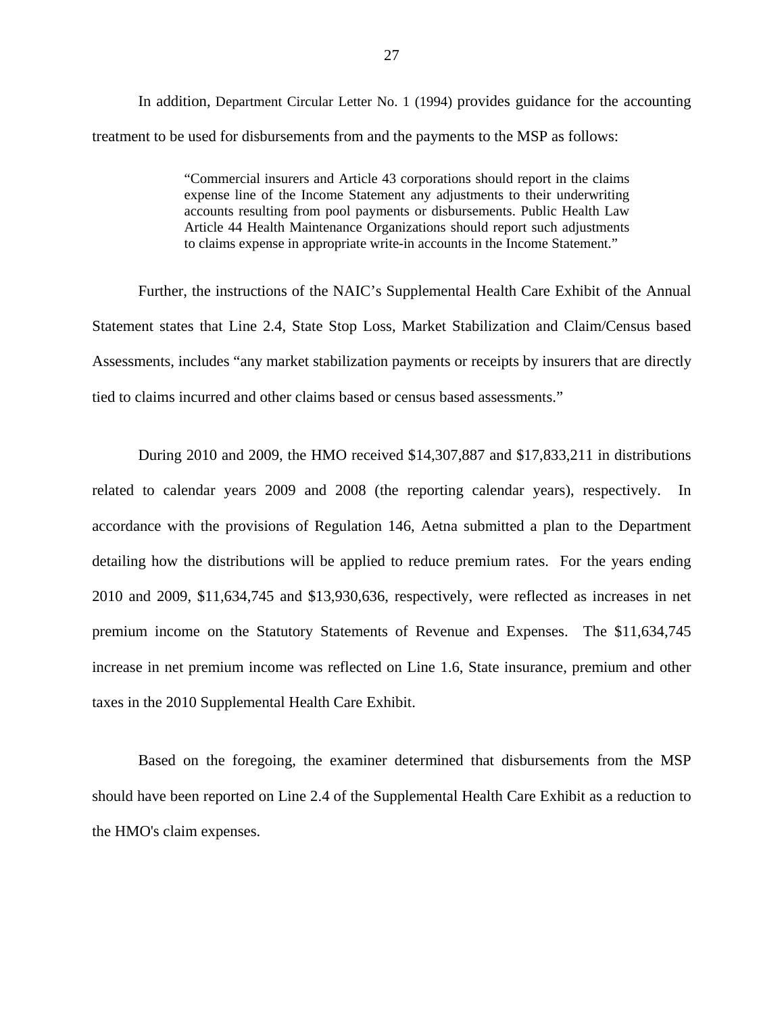In addition, Department Circular Letter No. 1 (1994) provides guidance for the accounting treatment to be used for disbursements from and the payments to the MSP as follows:

> "Commercial insurers and Article 43 corporations should report in the claims expense line of the Income Statement any adjustments to their underwriting accounts resulting from pool payments or disbursements. Public Health Law Article 44 Health Maintenance Organizations should report such adjustments to claims expense in appropriate write-in accounts in the Income Statement."

Further, the instructions of the NAIC's Supplemental Health Care Exhibit of the Annual Statement states that Line 2.4, State Stop Loss, Market Stabilization and Claim/Census based Assessments, includes "any market stabilization payments or receipts by insurers that are directly tied to claims incurred and other claims based or census based assessments."

During 2010 and 2009, the HMO received \$14,307,887 and \$17,833,211 in distributions related to calendar years 2009 and 2008 (the reporting calendar years), respectively. In accordance with the provisions of Regulation 146, Aetna submitted a plan to the Department detailing how the distributions will be applied to reduce premium rates. For the years ending 2010 and 2009, \$11,634,745 and \$13,930,636, respectively, were reflected as increases in net premium income on the Statutory Statements of Revenue and Expenses. The \$11,634,745 increase in net premium income was reflected on Line 1.6, State insurance, premium and other taxes in the 2010 Supplemental Health Care Exhibit.

Based on the foregoing, the examiner determined that disbursements from the MSP should have been reported on Line 2.4 of the Supplemental Health Care Exhibit as a reduction to the HMO's claim expenses.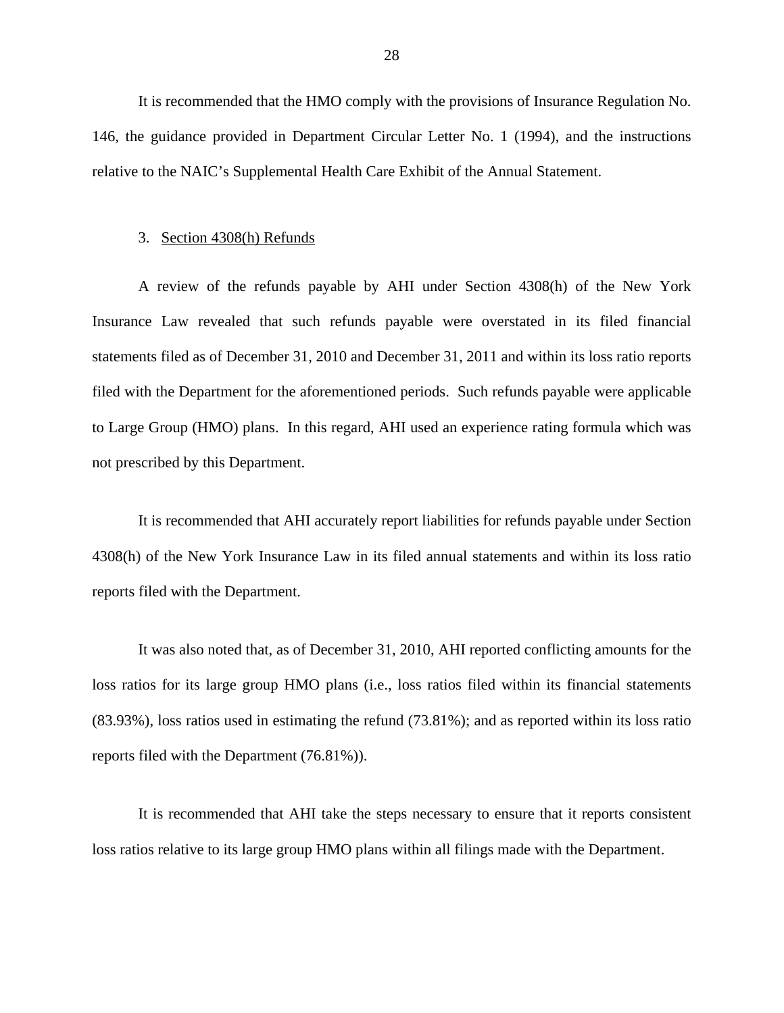It is recommended that the HMO comply with the provisions of Insurance Regulation No. 146, the guidance provided in Department Circular Letter No. 1 (1994), and the instructions relative to the NAIC's Supplemental Health Care Exhibit of the Annual Statement.

#### 3. Section 4308(h) Refunds

A review of the refunds payable by AHI under Section 4308(h) of the New York Insurance Law revealed that such refunds payable were overstated in its filed financial statements filed as of December 31, 2010 and December 31, 2011 and within its loss ratio reports filed with the Department for the aforementioned periods. Such refunds payable were applicable to Large Group (HMO) plans. In this regard, AHI used an experience rating formula which was not prescribed by this Department.

It is recommended that AHI accurately report liabilities for refunds payable under Section 4308(h) of the New York Insurance Law in its filed annual statements and within its loss ratio reports filed with the Department.

It was also noted that, as of December 31, 2010, AHI reported conflicting amounts for the loss ratios for its large group HMO plans (i.e., loss ratios filed within its financial statements (83.93%), loss ratios used in estimating the refund (73.81%); and as reported within its loss ratio reports filed with the Department (76.81%)).

It is recommended that AHI take the steps necessary to ensure that it reports consistent loss ratios relative to its large group HMO plans within all filings made with the Department.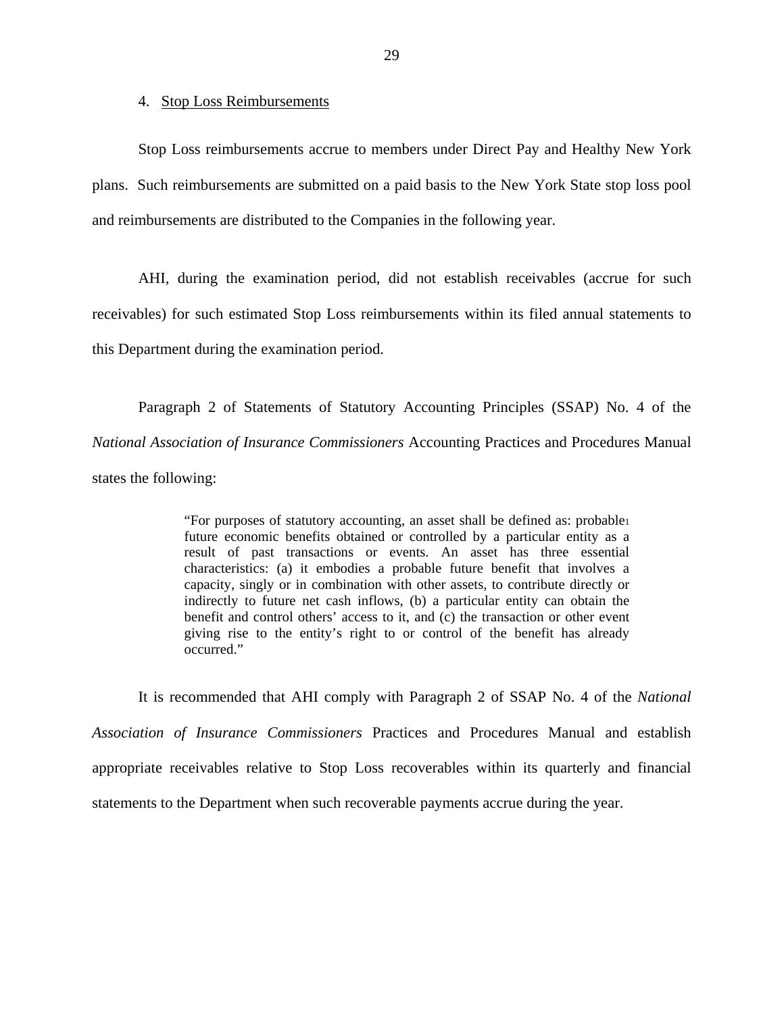#### 4. Stop Loss Reimbursements

Stop Loss reimbursements accrue to members under Direct Pay and Healthy New York plans. Such reimbursements are submitted on a paid basis to the New York State stop loss pool and reimbursements are distributed to the Companies in the following year.

AHI, during the examination period, did not establish receivables (accrue for such receivables) for such estimated Stop Loss reimbursements within its filed annual statements to this Department during the examination period.

Paragraph 2 of Statements of Statutory Accounting Principles (SSAP) No. 4 of the *National Association of Insurance Commissioners* Accounting Practices and Procedures Manual states the following:

> "For purposes of statutory accounting, an asset shall be defined as: probable1 future economic benefits obtained or controlled by a particular entity as a result of past transactions or events. An asset has three essential characteristics: (a) it embodies a probable future benefit that involves a capacity, singly or in combination with other assets, to contribute directly or indirectly to future net cash inflows, (b) a particular entity can obtain the benefit and control others' access to it, and (c) the transaction or other event giving rise to the entity's right to or control of the benefit has already occurred."

It is recommended that AHI comply with Paragraph 2 of SSAP No. 4 of the *National Association of Insurance Commissioners* Practices and Procedures Manual and establish appropriate receivables relative to Stop Loss recoverables within its quarterly and financial statements to the Department when such recoverable payments accrue during the year.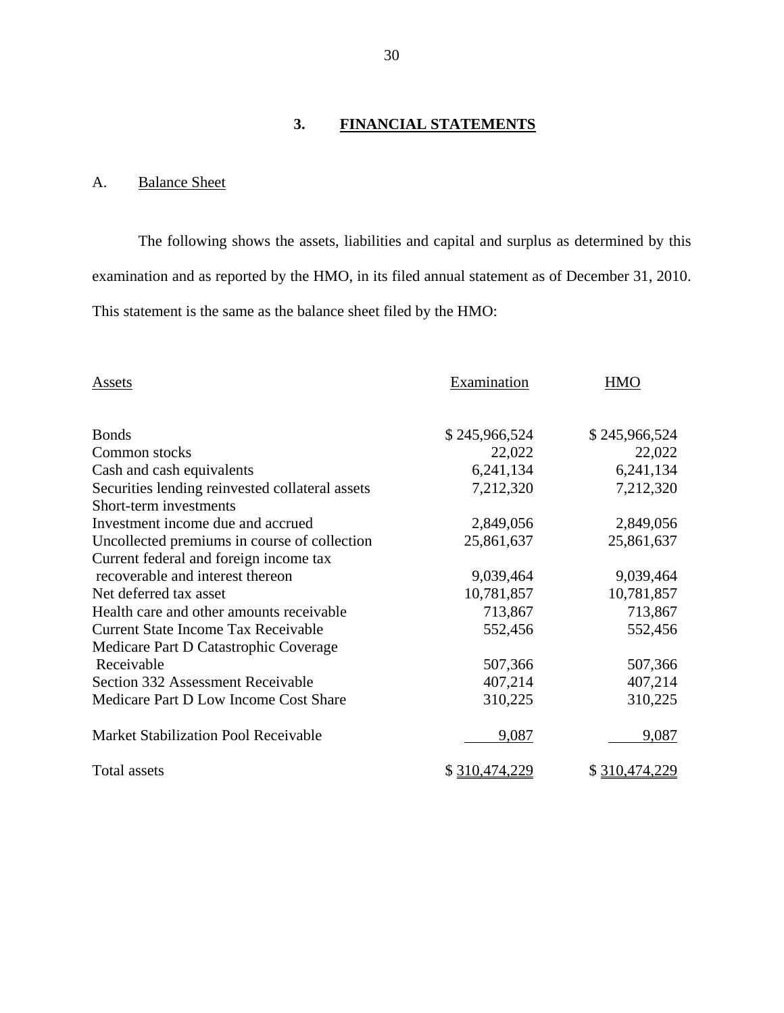## **3. FINANCIAL STATEMENTS**

## A. Balance Sheet

The following shows the assets, liabilities and capital and surplus as determined by this examination and as reported by the HMO, in its filed annual statement as of December 31, 2010. This statement is the same as the balance sheet filed by the HMO:

| Assets                                          | Examination    | <b>HMO</b>    |  |
|-------------------------------------------------|----------------|---------------|--|
| <b>Bonds</b>                                    | \$245,966,524  | \$245,966,524 |  |
| Common stocks                                   | 22,022         | 22,022        |  |
| Cash and cash equivalents                       | 6,241,134      | 6,241,134     |  |
| Securities lending reinvested collateral assets | 7,212,320      | 7,212,320     |  |
| Short-term investments                          |                |               |  |
| Investment income due and accrued               | 2,849,056      | 2,849,056     |  |
| Uncollected premiums in course of collection    | 25,861,637     | 25,861,637    |  |
| Current federal and foreign income tax          |                |               |  |
| recoverable and interest thereon                | 9,039,464      | 9,039,464     |  |
| Net deferred tax asset                          | 10,781,857     | 10,781,857    |  |
| Health care and other amounts receivable        | 713,867        | 713,867       |  |
| <b>Current State Income Tax Receivable</b>      | 552,456        | 552,456       |  |
| Medicare Part D Catastrophic Coverage           |                |               |  |
| Receivable                                      | 507,366        | 507,366       |  |
| Section 332 Assessment Receivable               | 407,214        | 407,214       |  |
| Medicare Part D Low Income Cost Share           | 310,225        | 310,225       |  |
| <b>Market Stabilization Pool Receivable</b>     | 9,087          | 9,087         |  |
| Total assets                                    | \$ 310,474,229 | \$310,474,229 |  |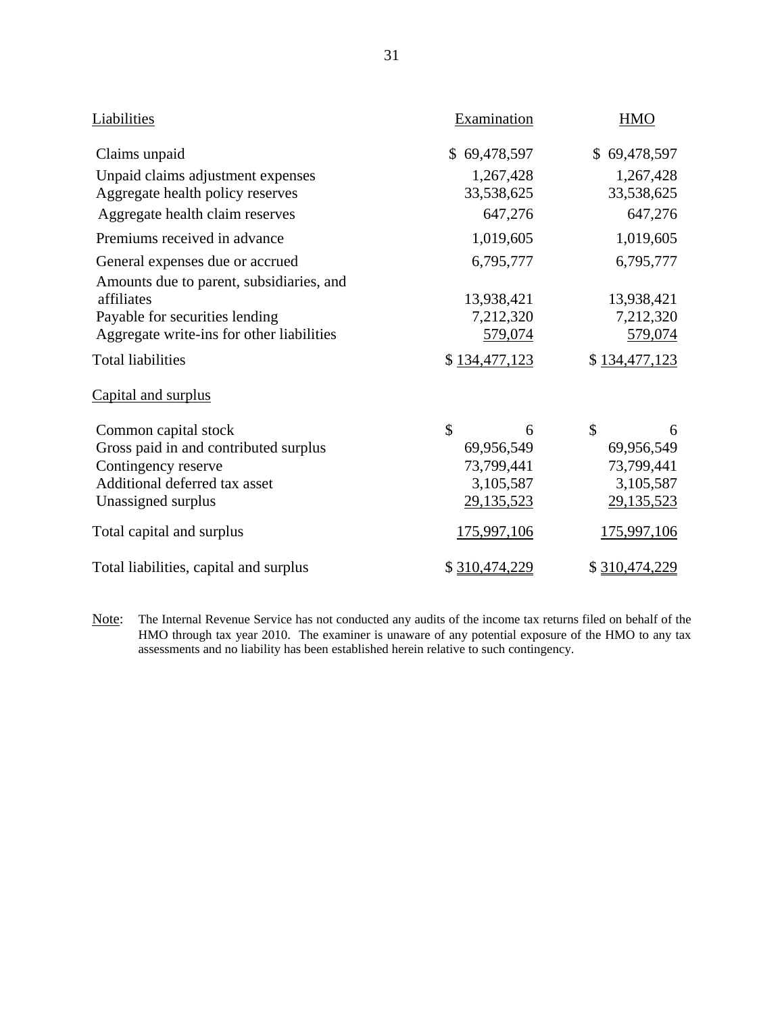| Liabilities                               | Examination   | <b>HMO</b>         |  |
|-------------------------------------------|---------------|--------------------|--|
| Claims unpaid                             | \$69,478,597  | \$69,478,597       |  |
| Unpaid claims adjustment expenses         | 1,267,428     | 1,267,428          |  |
| Aggregate health policy reserves          | 33,538,625    | 33,538,625         |  |
| Aggregate health claim reserves           | 647,276       | 647,276            |  |
| Premiums received in advance              | 1,019,605     | 1,019,605          |  |
| General expenses due or accrued           | 6,795,777     | 6,795,777          |  |
| Amounts due to parent, subsidiaries, and  |               |                    |  |
| affiliates                                | 13,938,421    | 13,938,421         |  |
| Payable for securities lending            | 7,212,320     | 7,212,320          |  |
| Aggregate write-ins for other liabilities | 579,074       | 579,074            |  |
| <b>Total liabilities</b>                  | \$134,477,123 | \$134,477,123      |  |
| Capital and surplus                       |               |                    |  |
| Common capital stock                      | \$<br>6       | $\mathcal{S}$<br>6 |  |
| Gross paid in and contributed surplus     | 69,956,549    | 69,956,549         |  |
| Contingency reserve                       | 73,799,441    | 73,799,441         |  |
| Additional deferred tax asset             | 3,105,587     | 3,105,587          |  |
| Unassigned surplus                        | 29,135,523    | 29,135,523         |  |
| Total capital and surplus                 | 175,997,106   | 175,997,106        |  |
| Total liabilities, capital and surplus    | \$310,474,229 | \$310,474,229      |  |

Note: The Internal Revenue Service has not conducted any audits of the income tax returns filed on behalf of the HMO through tax year 2010. The examiner is unaware of any potential exposure of the HMO to any tax assessments and no liability has been established herein relative to such contingency.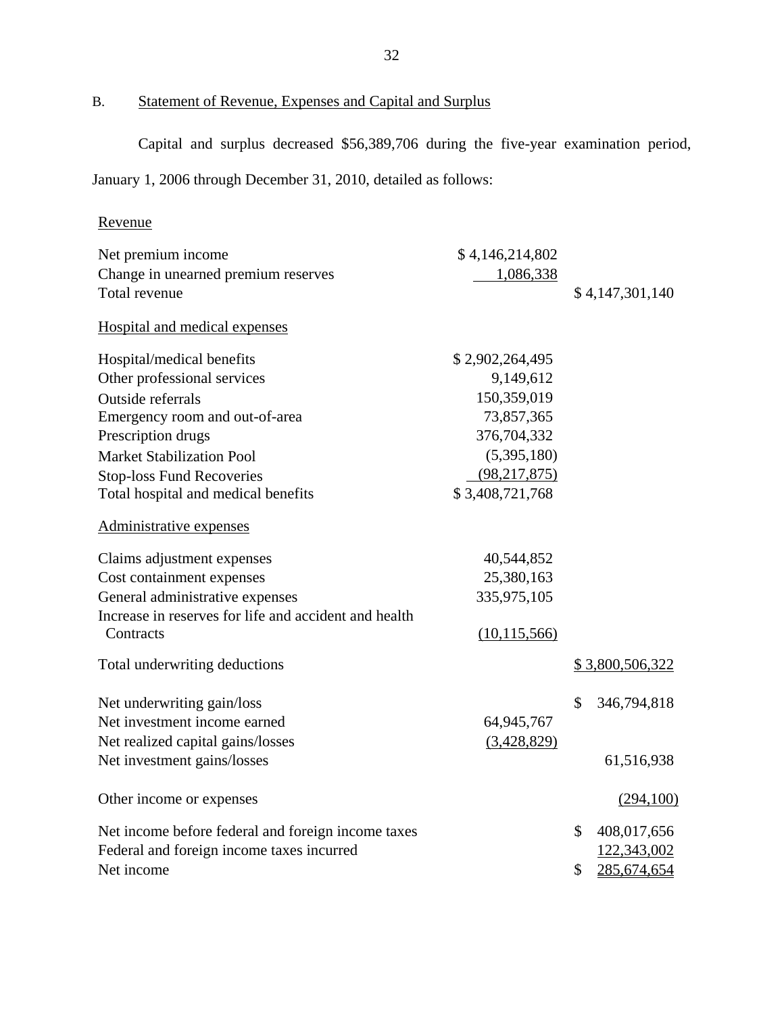B. Statement of Revenue, Expenses and Capital and Surplus

Capital and surplus decreased \$56,389,706 during the five-year examination period,

January 1, 2006 through December 31, 2010, detailed as follows:

## Revenue

| Net premium income                                    | \$4,146,214,802 |                   |
|-------------------------------------------------------|-----------------|-------------------|
| Change in unearned premium reserves                   | 1,086,338       |                   |
| Total revenue                                         |                 | \$4,147,301,140   |
| Hospital and medical expenses                         |                 |                   |
| Hospital/medical benefits                             | \$2,902,264,495 |                   |
| Other professional services                           | 9,149,612       |                   |
| Outside referrals                                     | 150,359,019     |                   |
| Emergency room and out-of-area                        | 73,857,365      |                   |
| Prescription drugs                                    | 376,704,332     |                   |
| <b>Market Stabilization Pool</b>                      | (5,395,180)     |                   |
| <b>Stop-loss Fund Recoveries</b>                      | (98, 217, 875)  |                   |
| Total hospital and medical benefits                   | \$3,408,721,768 |                   |
| Administrative expenses                               |                 |                   |
| Claims adjustment expenses                            | 40,544,852      |                   |
| Cost containment expenses                             | 25,380,163      |                   |
| General administrative expenses                       | 335,975,105     |                   |
| Increase in reserves for life and accident and health |                 |                   |
| Contracts                                             | (10, 115, 566)  |                   |
| Total underwriting deductions                         |                 | \$3,800,506,322   |
| Net underwriting gain/loss                            |                 | \$<br>346,794,818 |
| Net investment income earned                          | 64,945,767      |                   |
| Net realized capital gains/losses                     | (3,428,829)     |                   |
| Net investment gains/losses                           |                 | 61,516,938        |
| Other income or expenses                              |                 | (294,100)         |
| Net income before federal and foreign income taxes    |                 | \$<br>408,017,656 |
| Federal and foreign income taxes incurred             |                 | 122,343,002       |
| Net income                                            |                 | \$<br>285,674,654 |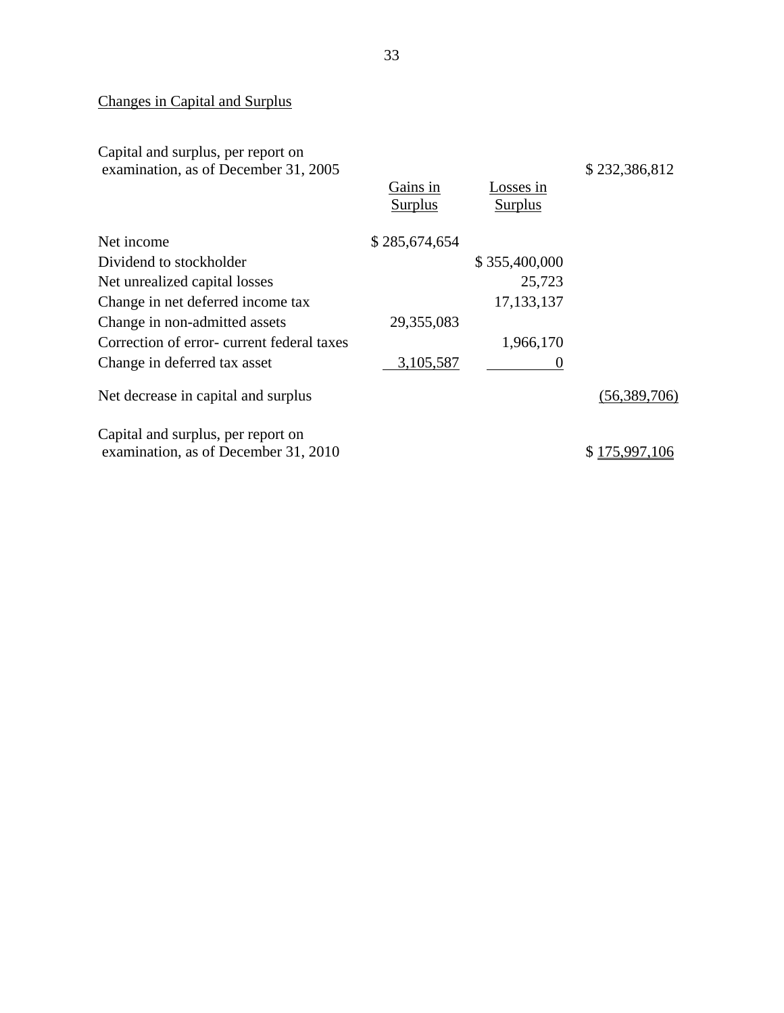## Changes in Capital and Surplus

Capital and surplus, per report on examination, as of December 31, 2005

|                                           | Gains in<br>Surplus | Losses in<br>Surplus |               |
|-------------------------------------------|---------------------|----------------------|---------------|
| Net income                                | \$285,674,654       |                      |               |
| Dividend to stockholder                   |                     | \$355,400,000        |               |
| Net unrealized capital losses             |                     | 25,723               |               |
| Change in net deferred income tax         |                     | 17, 133, 137         |               |
| Change in non-admitted assets             | 29,355,083          |                      |               |
| Correction of error-current federal taxes |                     | 1,966,170            |               |
| Change in deferred tax asset              | 3,105,587           |                      |               |
| Net decrease in capital and surplus       |                     |                      | (56,389,706)  |
| Capital and surplus, per report on        |                     |                      |               |
| examination, as of December 31, 2010      |                     |                      | \$175,997,106 |

\$ 232,386,812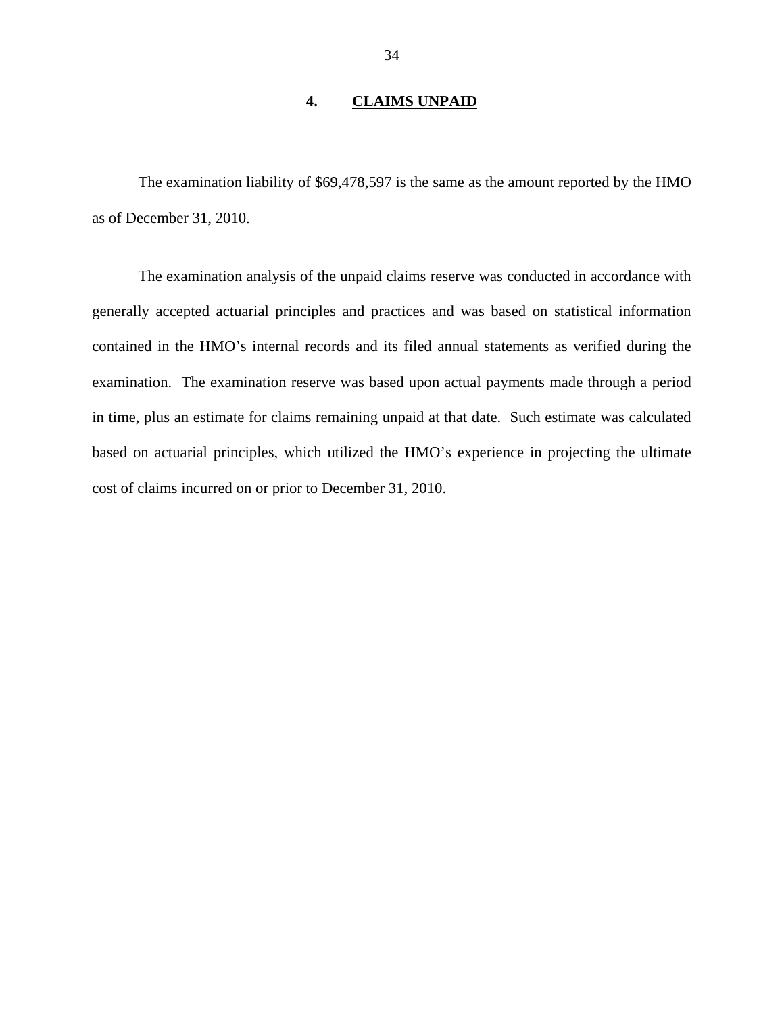## **4. CLAIMS UNPAID**

<span id="page-35-0"></span>The examination liability of \$69,478,597 is the same as the amount reported by the HMO as of December 31, 2010.

The examination analysis of the unpaid claims reserve was conducted in accordance with generally accepted actuarial principles and practices and was based on statistical information contained in the HMO's internal records and its filed annual statements as verified during the examination. The examination reserve was based upon actual payments made through a period in time, plus an estimate for claims remaining unpaid at that date. Such estimate was calculated based on actuarial principles, which utilized the HMO's experience in projecting the ultimate cost of claims incurred on or prior to December 31, 2010.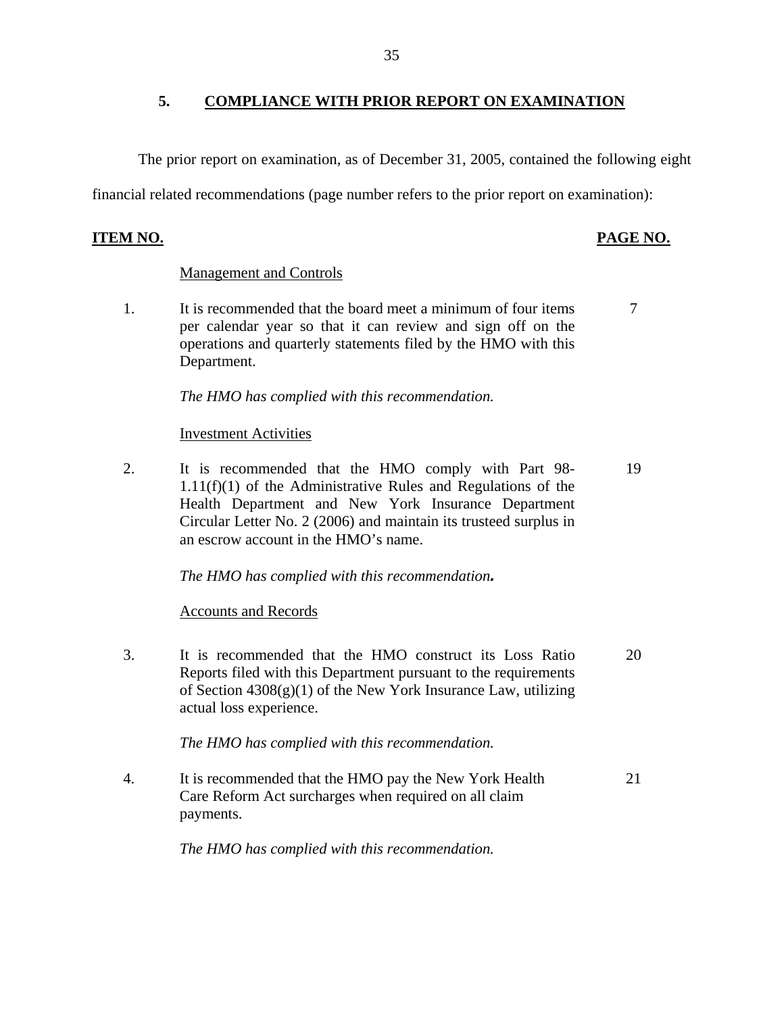<span id="page-36-0"></span>The prior report on examination, as of December 31, 2005, contained the following eight

financial related recommendations (page number refers to the prior report on examination):

## **ITEM NO. PAGE NO.**

## Management and Controls

1. It is recommended that the board meet a minimum of four items  $\frac{7}{2}$ per calendar year so that it can review and sign off on the operations and quarterly statements filed by the HMO with this Department.

*The HMO has complied with this recommendation.* 

## Investment Activities

2. It is recommended that the HMO comply with Part 98- 19 1.11(f)(1) of the Administrative Rules and Regulations of the Health Department and New York Insurance Department Circular Letter No. 2 (2006) and maintain its trusteed surplus in an escrow account in the HMO's name.

*The HMO has complied with this recommendation.*

## Accounts and Records

3. It is recommended that the HMO construct its Loss Ratio 20 Reports filed with this Department pursuant to the requirements of Section  $4308(g)(1)$  of the New York Insurance Law, utilizing actual loss experience.

*The HMO has complied with this recommendation.* 

4. It is recommended that the HMO pay the New York Health 21 Care Reform Act surcharges when required on all claim payments.

*The HMO has complied with this recommendation.*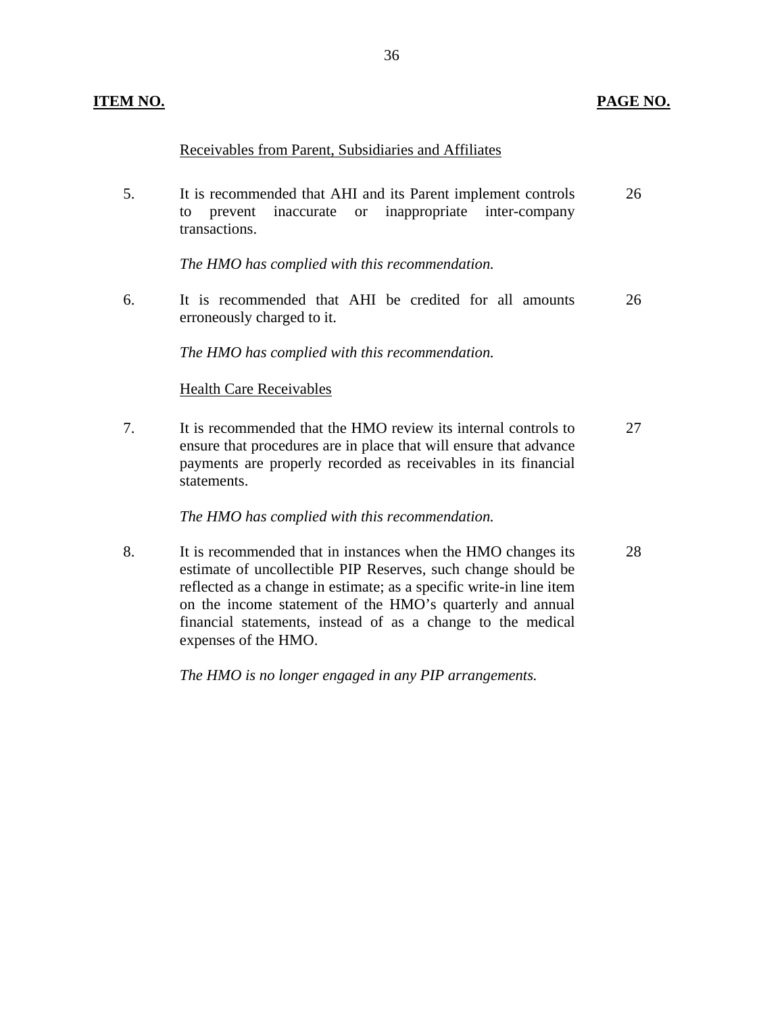## **ITEM NO. PAGE NO. PAGE NO.**

## Receivables from Parent, Subsidiaries and Affiliates

5. It is recommended that AHI and its Parent implement controls 26 to prevent inaccurate or inappropriate inter-company transactions.

*The HMO has complied with this recommendation.* 

6. It is recommended that AHI be credited for all amounts 26 erroneously charged to it.

*The HMO has complied with this recommendation.*

## Health Care Receivables

7. It is recommended that the HMO review its internal controls to 27 ensure that procedures are in place that will ensure that advance payments are properly recorded as receivables in its financial statements.

## *The HMO has complied with this recommendation.*

8. It is recommended that in instances when the HMO changes its 28 estimate of uncollectible PIP Reserves, such change should be reflected as a change in estimate; as a specific write-in line item on the income statement of the HMO's quarterly and annual financial statements, instead of as a change to the medical expenses of the HMO.

*The HMO is no longer engaged in any PIP arrangements.*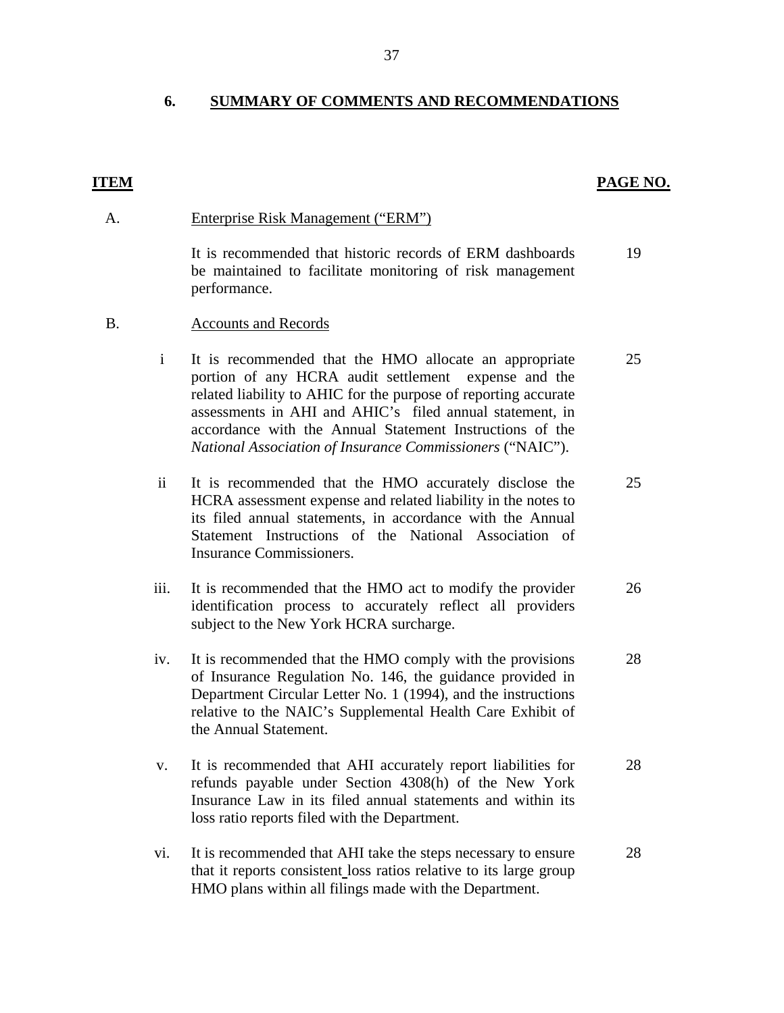## **6. SUMMARY OF COMMENTS AND RECOMMENDATIONS**

### **ITEM**

## **PAGE NO.**

#### A. Enterprise Risk Management ("ERM")

It is recommended that historic records of ERM dashboards be maintained to facilitate monitoring of risk management performance. 19

#### B. Accounts and Records

i It is recommended that the HMO allocate an appropriate portion of any HCRA audit settlement expense and the related liability to AHIC for the purpose of reporting accurate assessments in AHI and AHIC's filed annual statement, in accordance with the Annual Statement Instructions of the *National Association of Insurance Commissioners* ("NAIC"). 25

- ii It is recommended that the HMO accurately disclose the HCRA assessment expense and related liability in the notes to its filed annual statements, in accordance with the Annual Statement Instructions of the National Association of Insurance Commissioners. 25
- iii. It is recommended that the HMO act to modify the provider identification process to accurately reflect all providers subject to the New York HCRA surcharge. 26
- iv. It is recommended that the HMO comply with the provisions of Insurance Regulation No. 146, the guidance provided in Department Circular Letter No. 1 (1994), and the instructions relative to the NAIC's Supplemental Health Care Exhibit of the Annual Statement. 28
- v. It is recommended that AHI accurately report liabilities for refunds payable under Section 4308(h) of the New York Insurance Law in its filed annual statements and within its loss ratio reports filed with the Department. 28
- vi. It is recommended that AHI take the steps necessary to ensure that it reports consistent loss ratios relative to its large group HMO plans within all filings made with the Department. 28

37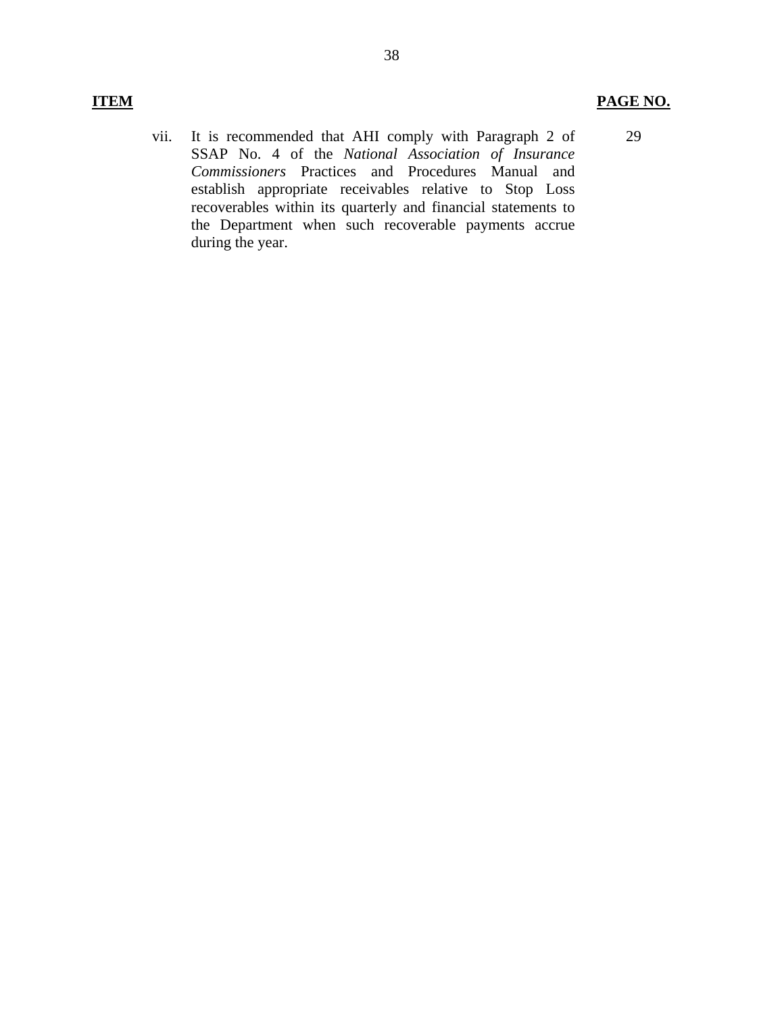## **ITEM PAGE NO.**

29

vii. It is recommended that AHI comply with Paragraph 2 of SSAP No. 4 of the *National Association of Insurance Commissioners* Practices and Procedures Manual and establish appropriate receivables relative to Stop Loss recoverables within its quarterly and financial statements to the Department when such recoverable payments accrue during the year.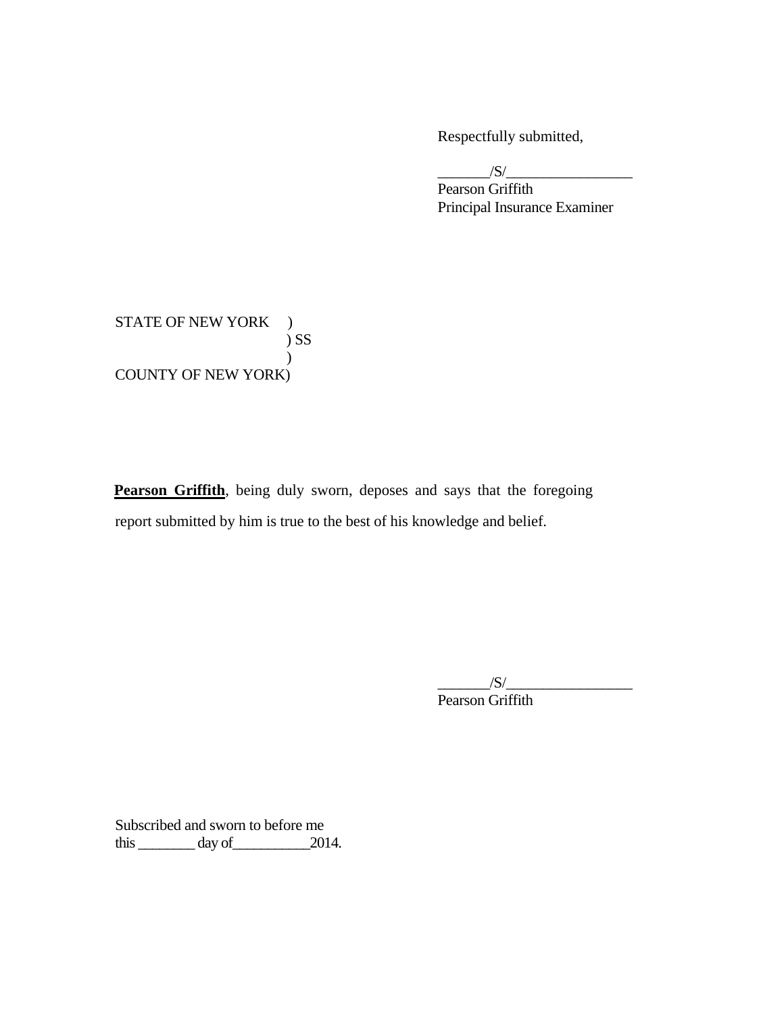Respectfully submitted,

 $\frac{1}{\sqrt{S}}$ 

Pearson Griffith Principal Insurance Examiner

STATE OF NEW YORK )  $\sum$ ) COUNTY OF NEW YORK)

report submitted by him is true to the best of his knowledge and belief. Pearson Griffith, being duly sworn, deposes and says that the foregoing report submitted by him is true to the best of his knowledge and belief. \_\_\_\_\_\_\_/S/\_\_\_\_\_\_\_\_\_\_\_\_\_\_\_\_\_

Pearson Griffith

Subscribed and sworn to before me  $\frac{3}{2014}$ .